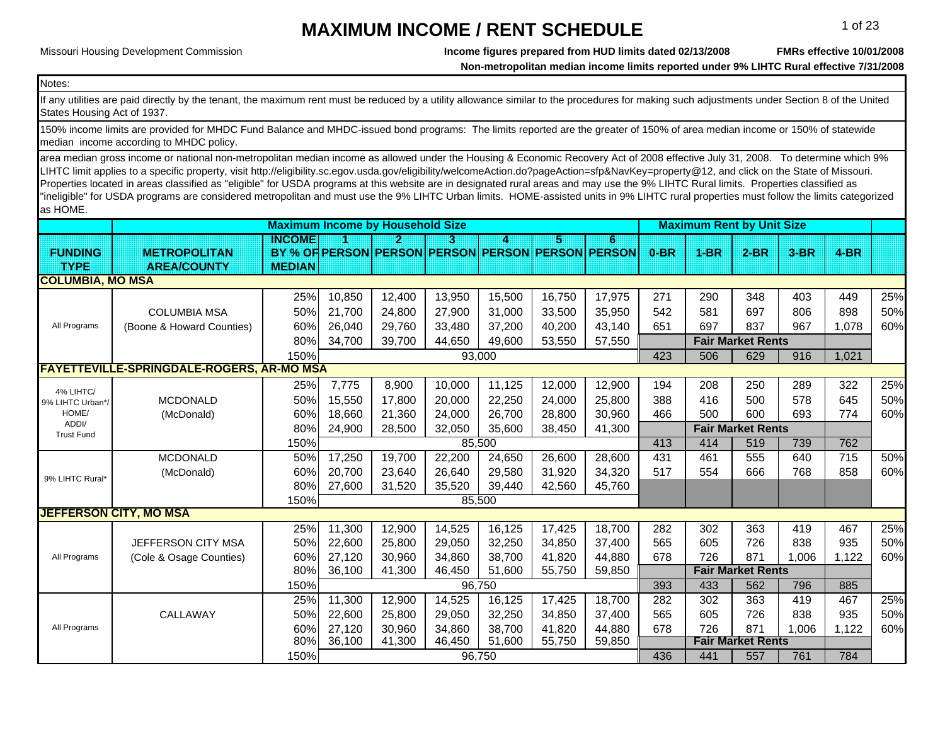Missouri Housing Development Commission

**Income figures prepared from HUD limits dated 02/13/2008**

**FMRs effective 10/01/2008**

**Non-metropolitan median income limits reported under 9% LIHTC Rural effective 7/31/2008**

Notes:

If any utilities are paid directly by the tenant, the maximum rent must be reduced by a utility allowance similar to the procedures for making such adjustments under Section 8 of the United States Housing Act of 1937.

 $\blacksquare$  median  $\blacksquare$  income according to MHDC policy.  $\blacksquare$ 150% income limits are provided for MHDC Fund Balance and MHDC-issued bond programs: The limits reported are the greater of 150% of area median income or 150% of statewide

area median gross income or national non-metropolitan median income as allowed under the Housing & Economic Recovery Act of 2008 effective July 31, 2008. To determine which 9% LIHTC limit applies to a specific property, visit http://eligibility.sc.egov.usda.gov/eligibility/welcomeAction.do?pageAction=sfp&NavKey=property@12, and click on the State of Missouri. Properties located in areas classified as "eligible" for USDA programs at this website are in designated rural areas and may use the 9% LIHTC Rural limits. Properties classified as "ineligible" for USDA programs are considered metropolitan and must use the 9% LIHTC Urban limits. HOME-assisted units in 9% LIHTC rural properties must follow the limits categorized as HOME.

|                            |                                                  |               |                     | <b>Maximum Income by Household Size</b> |        |        |        |                                                   |        |        | <b>Maximum Rent by Unit Size</b> |        |        |     |
|----------------------------|--------------------------------------------------|---------------|---------------------|-----------------------------------------|--------|--------|--------|---------------------------------------------------|--------|--------|----------------------------------|--------|--------|-----|
|                            |                                                  | INGOMEI       |                     | 21                                      | з      | 4      | ES.    | 6                                                 |        |        |                                  |        |        |     |
| <b>FUNDING</b>             | <b>METROPOLITAN</b>                              |               |                     |                                         |        |        |        | BY % OF PERSON PERSON PERSON PERSON PERSON PERSON | $0-BR$ | $1-BR$ | $2-BR$                           | $3-BR$ | $4-BR$ |     |
| <b>TYPE</b>                | <b>AREA/COUNTY</b>                               | <b>MEDIAN</b> |                     |                                         |        |        |        |                                                   |        |        |                                  |        |        |     |
| <b>COLUMBIA, MO MSA</b>    |                                                  |               |                     |                                         |        |        |        |                                                   |        |        |                                  |        |        |     |
|                            |                                                  | 25%           | 10,850              | 12,400                                  | 13,950 | 15,500 | 16,750 | 17,975                                            | 271    | 290    | 348                              | 403    | 449    | 25% |
|                            | <b>COLUMBIA MSA</b>                              | 50%           | 21,700              | 24,800                                  | 27,900 | 31,000 | 33,500 | 35,950                                            | 542    | 581    | 697                              | 806    | 898    | 50% |
| All Programs               | (Boone & Howard Counties)                        | 60%           | 26,040              | 29,760                                  | 33,480 | 37,200 | 40,200 | 43,140                                            | 651    | 697    | 837                              | 967    | 1,078  | 60% |
|                            |                                                  | 80%           | 34,700              | 39,700                                  | 44,650 | 49,600 | 53,550 | 57,550                                            |        |        | <b>Fair Market Rents</b>         |        |        |     |
|                            |                                                  | 150%          |                     |                                         |        | 93,000 |        |                                                   | 423    | 506    | 629                              | 916    | 1,021  |     |
|                            | <b>FAYETTEVILLE-SPRINGDALE-ROGERS, AR-MO MSA</b> |               |                     |                                         |        |        |        |                                                   |        |        |                                  |        |        |     |
| 4% LIHTC/                  |                                                  | 25%           | 7,775               | 8,900                                   | 10,000 | 11,125 | 12,000 | 12,900                                            | 194    | 208    | 250                              | 289    | 322    | 25% |
| 9% LIHTC Urban*/           | <b>MCDONALD</b>                                  | 50%           | 15,550              | 17,800                                  | 20,000 | 22,250 | 24,000 | 25,800                                            | 388    | 416    | 500                              | 578    | 645    | 50% |
| HOME/                      | (McDonald)                                       | 60%           | 18,660              | 21,360                                  | 24,000 | 26,700 | 28,800 | 30,960                                            | 466    | 500    | 600                              | 693    | 774    | 60% |
| ADDI/<br><b>Trust Fund</b> |                                                  | 80%           | 24,900              | 28,500                                  | 32,050 | 35,600 | 38,450 | 41,300                                            |        |        | <b>Fair Market Rents</b>         |        |        |     |
|                            |                                                  | 150%          |                     |                                         |        | 85,500 |        |                                                   | 413    | 414    | 519                              | 739    | 762    |     |
|                            | <b>MCDONALD</b>                                  | 50%           | 17,250              | 19,700                                  | 22,200 | 24,650 | 26,600 | 28,600                                            | 431    | 461    | 555                              | 640    | 715    | 50% |
| 9% LIHTC Rural*            | (McDonald)                                       | 60%           | 20,700              | 23,640                                  | 26,640 | 29,580 | 31,920 | 34,320                                            | 517    | 554    | 666                              | 768    | 858    | 60% |
|                            |                                                  | 80%           | 27,600              | 31,520                                  | 35,520 | 39,440 | 42,560 | 45,760                                            |        |        |                                  |        |        |     |
|                            |                                                  | 150%          |                     |                                         |        | 85,500 |        |                                                   |        |        |                                  |        |        |     |
|                            | <b>JEFFERSON CITY, MO MSA</b>                    |               |                     |                                         |        |        |        |                                                   |        |        |                                  |        |        |     |
|                            |                                                  | 25%           | 11,300              | 12,900                                  | 14,525 | 16,125 | 17,425 | 18,700                                            | 282    | 302    | 363                              | 419    | 467    | 25% |
|                            | JEFFERSON CITY MSA                               | 50%           | 22,600              | 25,800                                  | 29,050 | 32,250 | 34,850 | 37,400                                            | 565    | 605    | 726                              | 838    | 935    | 50% |
| All Programs               | (Cole & Osage Counties)                          | 60%           | 27,120              | 30,960                                  | 34,860 | 38,700 | 41,820 | 44,880                                            | 678    | 726    | 871                              | 1,006  | 1,122  | 60% |
|                            |                                                  | 80%           | 36,100              | 41,300                                  | 46,450 | 51,600 | 55,750 | 59,850                                            |        |        | <b>Fair Market Rents</b>         |        |        |     |
|                            |                                                  | 150%          |                     |                                         |        | 96,750 |        |                                                   | 393    | 433    | 562                              | 796    | 885    |     |
|                            |                                                  | 25%           | $\overline{11,300}$ | 12,900                                  | 14,525 | 16,125 | 17,425 | 18,700                                            | 282    | 302    | 363                              | 419    | 467    | 25% |
|                            | CALLAWAY                                         | 50%           | 22,600              | 25,800                                  | 29,050 | 32,250 | 34,850 | 37,400                                            | 565    | 605    | 726                              | 838    | 935    | 50% |
| All Programs               |                                                  | 60%           | 27,120              | 30,960                                  | 34,860 | 38,700 | 41,820 | 44,880                                            | 678    | 726    | 871                              | 1,006  | 1,122  | 60% |
|                            |                                                  | 80%           | 36,100              | 41,300                                  | 46,450 | 51,600 | 55,750 | 59,850                                            |        |        | <b>Fair Market Rents</b>         |        |        |     |
|                            |                                                  | 150%          |                     |                                         |        | 96,750 |        |                                                   | 436    | 441    | 557                              | 761    | 784    |     |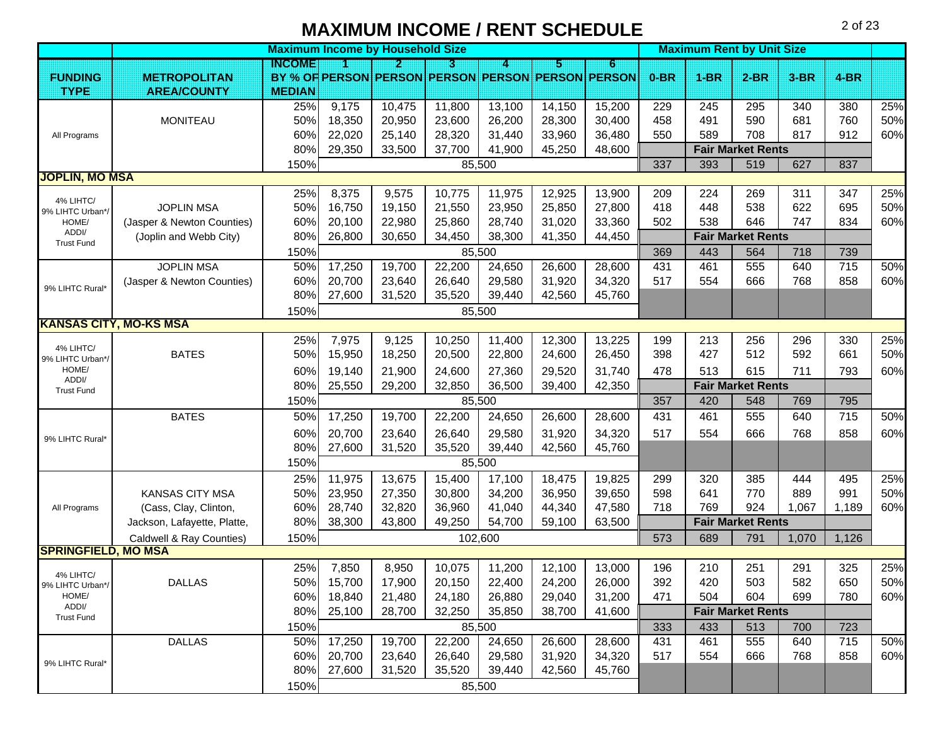**Maximum Income by Household Size All and Size All and Size All and Size All and Size All and Size All and Size All and Size All and Size All and Size All and Size All and Size All and Size All and Size All and Size All an INCOME123456 FUNDING <b>METROPOLITAN PERSON PERSON PERSON PERSON PERSON PERSON 0-BR 1-BR 2-BR 3-BR 4-BRTYPE AREA/COUNTY MEDIAN**25%| 9,175 | 10,475 | 11,800 | 13,100 | 14,150 | 15,200 | 229 | 245 | 295 | 340 | 380 | 25% MONITEAUU | 50%| 18,350 | 20,950 | 23,600 | 26,200 | 28,300 | 30,400 | 458 | 491 | 590 | 681 | 760 | 50% 60%| 22,020 | 25,140 | 28,320 | 31,440 | 33,960 | 36,480 | 550 | 589 | 708 | 817 | 912 | 60% 80% 29,350 33,500 37,700 41,900 45,250 48,600 **Fair Market Rents** 150% 337 1 393 1 519 1 627 1 837 1 837 1 837 1 837 1 837 1 837 1 837 1 837 1 837 1 837 1 837 1 837 1 837 1 837 25%| 8,375 | 9,575 | 10,775 | 11,975 | 12,925 | 13,900 | 209 | 224 | 269 | 311 | 347 | 25% JOPLIN MSA4 | 50%| 16,750 | 19,150 | 21,550 | 23,950 | 25,850 | 27,800 | 418 | 448 | 538 | 622 | 695 | 50% (Jasper & Newton Counties) | 60% | 20,100 | 22,980 | 25,860 | 28,740 | 31,020 | 33,360 | 502 | 538 | 646 | 747 | 834 | 60% (Joplin and Webb City) 80% 26,800 30,650 34,450 38,300 41,350 44,450 **Fair Market Rents** 150% 369 443 564 718 739JOPLIN MSA4 | 50%| 17,250 | 19,700 | 22,200 | 24,650 | 26,600 | 28,600 | 431 | 461 | 555 | 640 | 715 | 50% (Jasper & Newton Counties) | 60% | 20.700 | 23.640 | 26.640 | 29.580 | 31.920 | 34.320 | 517 | 554 | 666 | 768 | 858 | 60% 80%| 27,600 | 31,520 | 35,520 | 39,440 | 42,560 | 45,760 150%25%| 7,975 | 9,125 | 10,250 | 11,400 | 12,300 | 13,225 | 199 | 213 | 256 | 296 | 330 | 25% BATES5 50%| 15,950 | 18,250 | 20,500 | 22,800 | 24,600 | 26,450 | 398 | 427 | 512 | 592 | 661 | 50% 60%| 19,140 | 21,900 | 24,600 | 27,360 | 29,520 | 31,740 | 478 | 513 | 615 | 711 | 793 | 60% 80% 25,550 29,200 32,850 36,500 39,400 42,350 **Fair Market Rents** 150% 357 420 548 769 795BATES5 50%| 17,250 | 19,700 | 22,200 | 24,650 | 26,600 | 28,600 | 431 | 461 | 555 | 640 | 715 | 50% 60%| 20,700 | 23,640 | 26,640 | 29,580 | 31,920 | 34,320 | 517 | 554 | 666 | 768 | 858 | 60% 80%| 27,600 | 31,520 | 35,520 | 39,440 | 42,560 | 45,760 150%25%| 11,975 | 13,675 | 15,400 | 17,100 | 18,475 | 19,825 | 299 | 320 | 385 | 444 | 495 | 25% KANSAS CITY MSA 50% 23,950 27,350 30,800 34,200 36,950 39,650 598 641 770 889 991 50% (Cass, Clay, Clinton, 60% 28,740 32,820 36,960 41,040 44,340 47,580 718 769 924 1,067 1,189 60% Jackson, Lafayette, Platte, 80% 38,300 43,800 49,250 54,700 59,100 63,500 **Fair Market Rents** Caldwell & Ray Counties) 150% 573 689 791 1,070 1,126 25%| 7,850 | 8,950 | 10,075 | 11,200 | 12,100 | 13,000 | 196 | 210 | 251 | 291 | 325 | 25% DALLAS 5 50%| 15,700 | 17,900 | 20,150 | 22,400 | 24,200 | 26,000 | 392 | 420 | 503 | 582 | 650 | 50% 60%| 18,840 | 21,480 | 24,180 | 26,880 | 29,040 | 31,200 | 471 | 504 | 604 | 699 | 780 | 60% 80% 25,100 28,700 32,250 35,850 38,700 41,600 **Fair Market Rents** 150% 333 433 513 700 723DALLAS 5 50%| 17,250 | 19,700 | 22,200 | 24,650 | 26,600 | 28,600 | 431 | 461 | 555 | 640 | 715 | 50% 60%| 20,700 | 23,640 | 26,640 | 29,580 | 31,920 | 34,320 | 517 | 554 | 666 | 768 | 858 | 60% 80%| 27,600 | 31,520 | 35,520 | 39,440 | 42,560 | 45,760 150%9% LIHTC Rural\***SPRINGFIELD, MO MSA** All Programs 4% LIHTC/ 9% LIHTC Urban\*/ HOME/ ADDI/ Trust Fund9% LIHTC Rural<sup>\*</sup> 4% LIHTC/ 9% LIHTC Urban\*/ HOME/ ADDI/ Trust Fund**JOPLIN, MO MSA KANSAS CITY, MO-KS MSA** 9% LIHTC Rural\*All Programs 4% LIHTC/ 9% LIHTC Urban\*/ HOME/ ADDI/ Trust Fund85,500 85,500 85,500 85,500 85,500 102,600 85,500 85,500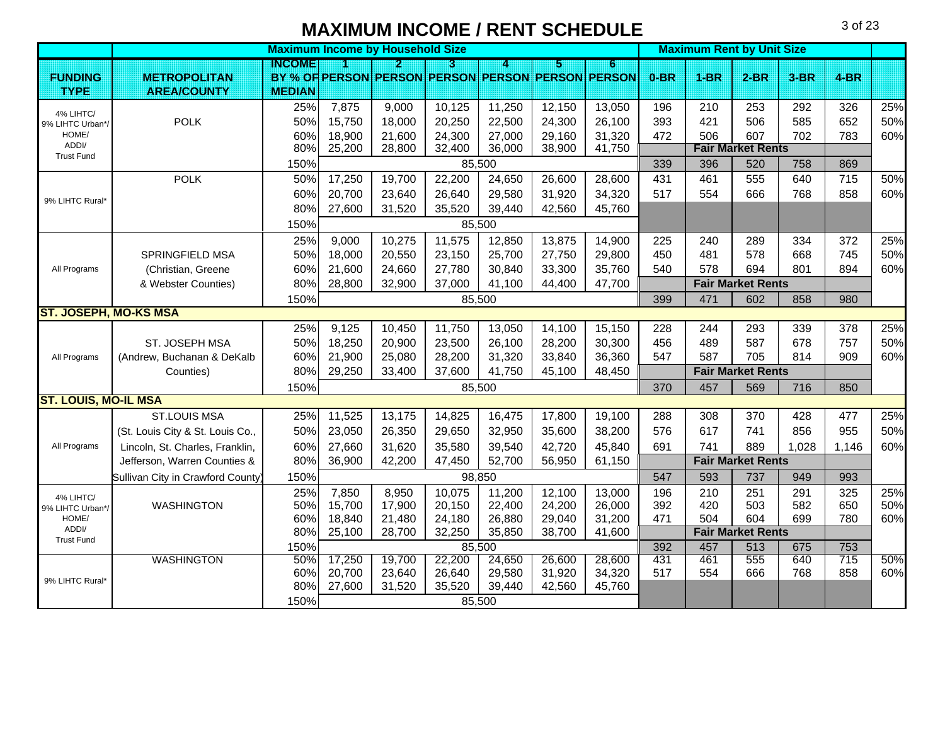|                              |                                  |               | <b>Maximum Income by Household Size</b> |        |        |        |        |                                                   | <b>Maximum Rent by Unit Size</b> |        |                          |        |        |     |
|------------------------------|----------------------------------|---------------|-----------------------------------------|--------|--------|--------|--------|---------------------------------------------------|----------------------------------|--------|--------------------------|--------|--------|-----|
|                              |                                  | <b>INGOME</b> |                                         | Ð      | B      | A      | 15     | 6                                                 |                                  |        |                          |        |        |     |
| <b>FUNDING</b>               | <b>METROPOLITAN</b>              |               |                                         |        |        |        |        | BY % OF PERSON PERSON PERSON PERSON PERSON PERSON | $0-BR$                           | $1-BR$ | $2-BR$                   | $3-BR$ | $4-BR$ |     |
| <b>TYPE</b>                  | <b>AREA/COUNTY</b>               | <b>MEDIAN</b> |                                         |        |        |        |        |                                                   |                                  |        |                          |        |        |     |
| 4% LIHTC/                    |                                  | 25%           | 7,875                                   | 9,000  | 10,125 | 11,250 | 12,150 | 13,050                                            | 196                              | 210    | 253                      | 292    | 326    | 25% |
| 9% LIHTC Urban*/             | <b>POLK</b>                      | 50%           | 15,750                                  | 18,000 | 20,250 | 22,500 | 24,300 | 26,100                                            | 393                              | 421    | 506                      | 585    | 652    | 50% |
| HOME/<br>ADDI/               |                                  | 60%           | 18,900                                  | 21,600 | 24,300 | 27,000 | 29,160 | 31,320                                            | 472                              | 506    | 607                      | 702    | 783    | 60% |
| <b>Trust Fund</b>            |                                  | 80%           | 25,200                                  | 28,800 | 32,400 | 36,000 | 38,900 | 41,750                                            |                                  |        | <b>Fair Market Rents</b> |        |        |     |
|                              |                                  | 150%          |                                         |        |        | 85,500 |        |                                                   | 339                              | 396    | 520                      | 758    | 869    |     |
|                              | <b>POLK</b>                      | 50%           | 17,250                                  | 19,700 | 22,200 | 24,650 | 26,600 | 28,600                                            | 431                              | 461    | 555                      | 640    | 715    | 50% |
| 9% LIHTC Rural*              |                                  | 60%           | 20,700                                  | 23,640 | 26,640 | 29,580 | 31,920 | 34,320                                            | 517                              | 554    | 666                      | 768    | 858    | 60% |
|                              |                                  | 80%           | 27,600                                  | 31,520 | 35,520 | 39,440 | 42,560 | 45,760                                            |                                  |        |                          |        |        |     |
|                              |                                  | 150%          |                                         |        |        | 85,500 |        |                                                   |                                  |        |                          |        |        |     |
|                              |                                  | 25%           | 9,000                                   | 10,275 | 11,575 | 12,850 | 13,875 | 14,900                                            | 225                              | 240    | 289                      | 334    | 372    | 25% |
|                              | SPRINGFIELD MSA                  | 50%           | 18,000                                  | 20,550 | 23,150 | 25,700 | 27,750 | 29,800                                            | 450                              | 481    | 578                      | 668    | 745    | 50% |
| All Programs                 | (Christian, Greene               | 60%           | 21,600                                  | 24,660 | 27,780 | 30,840 | 33,300 | 35,760                                            | 540                              | 578    | 694                      | 801    | 894    | 60% |
|                              | & Webster Counties)              | 80%           | 28,800                                  | 32,900 | 37,000 | 41,100 | 44,400 | 47,700                                            |                                  |        | <b>Fair Market Rents</b> |        |        |     |
|                              |                                  | 150%          |                                         |        |        | 85,500 |        |                                                   | 399                              | 471    | 602                      | 858    | 980    |     |
| <b>ST. JOSEPH, MO-KS MSA</b> |                                  |               |                                         |        |        |        |        |                                                   |                                  |        |                          |        |        |     |
|                              |                                  | 25%           | 9,125                                   | 10,450 | 11,750 | 13,050 | 14,100 | 15,150                                            | 228                              | 244    | 293                      | 339    | 378    | 25% |
|                              | ST. JOSEPH MSA                   | 50%           | 18,250                                  | 20,900 | 23,500 | 26,100 | 28,200 | 30,300                                            | 456                              | 489    | 587                      | 678    | 757    | 50% |
| All Programs                 | (Andrew, Buchanan & DeKalb       | 60%           | 21,900                                  | 25,080 | 28,200 | 31,320 | 33,840 | 36,360                                            | 547                              | 587    | 705                      | 814    | 909    | 60% |
|                              | Counties)                        | 80%           | 29,250                                  | 33,400 | 37,600 | 41,750 | 45,100 | 48,450                                            |                                  |        | <b>Fair Market Rents</b> |        |        |     |
|                              |                                  | 150%          |                                         |        |        | 85,500 |        |                                                   | 370                              | 457    | 569                      | 716    | 850    |     |
| <b>ST. LOUIS, MO-IL MSA</b>  |                                  |               |                                         |        |        |        |        |                                                   |                                  |        |                          |        |        |     |
|                              | <b>ST.LOUIS MSA</b>              | 25%           | 11,525                                  | 13,175 | 14,825 | 16,475 | 17,800 | 19,100                                            | 288                              | 308    | 370                      | 428    | 477    | 25% |
|                              | (St. Louis City & St. Louis Co., | 50%           | 23,050                                  | 26,350 | 29,650 | 32,950 | 35,600 | 38,200                                            | 576                              | 617    | 741                      | 856    | 955    | 50% |
| All Programs                 | Lincoln, St. Charles, Franklin,  | 60%           | 27,660                                  | 31,620 | 35,580 | 39,540 | 42,720 | 45,840                                            | 691                              | 741    | 889                      | 1,028  | 1,146  | 60% |
|                              | Jefferson, Warren Counties &     | 80%           | 36,900                                  | 42,200 | 47,450 | 52,700 | 56,950 | 61,150                                            |                                  |        | <b>Fair Market Rents</b> |        |        |     |
|                              | Sullivan City in Crawford County | 150%          |                                         |        |        | 98,850 |        |                                                   | 547                              | 593    | 737                      | 949    | 993    |     |
| 4% LIHTC/                    |                                  | 25%           | 7,850                                   | 8,950  | 10,075 | 11,200 | 12,100 | 13,000                                            | 196                              | 210    | 251                      | 291    | 325    | 25% |
| 9% LIHTC Urban*/             | <b>WASHINGTON</b>                | 50%           | 15,700                                  | 17,900 | 20,150 | 22,400 | 24,200 | 26,000                                            | 392                              | 420    | 503                      | 582    | 650    | 50% |
| HOME/                        |                                  | 60%           | 18,840                                  | 21,480 | 24,180 | 26,880 | 29,040 | 31,200                                            | 471                              | 504    | 604                      | 699    | 780    | 60% |
| ADDI/<br><b>Trust Fund</b>   |                                  | 80%           | 25,100                                  | 28,700 | 32,250 | 35,850 | 38,700 | 41,600                                            |                                  |        | <b>Fair Market Rents</b> |        |        |     |
|                              |                                  | 150%          |                                         |        |        | 85,500 |        |                                                   | 392                              | 457    | 513                      | 675    | 753    |     |
|                              | <b>WASHINGTON</b>                | 50%           | 17,250                                  | 19,700 | 22,200 | 24,650 | 26,600 | 28,600                                            | 431                              | 461    | 555                      | 640    | 715    | 50% |
| 9% LIHTC Rural*              |                                  | 60%           | 20,700                                  | 23,640 | 26,640 | 29,580 | 31,920 | 34,320                                            | 517                              | 554    | 666                      | 768    | 858    | 60% |
|                              |                                  | 80%           | 27,600                                  | 31,520 | 35,520 | 39,440 | 42,560 | 45,760                                            |                                  |        |                          |        |        |     |
|                              |                                  | 150%          |                                         |        |        | 85,500 |        |                                                   |                                  |        |                          |        |        |     |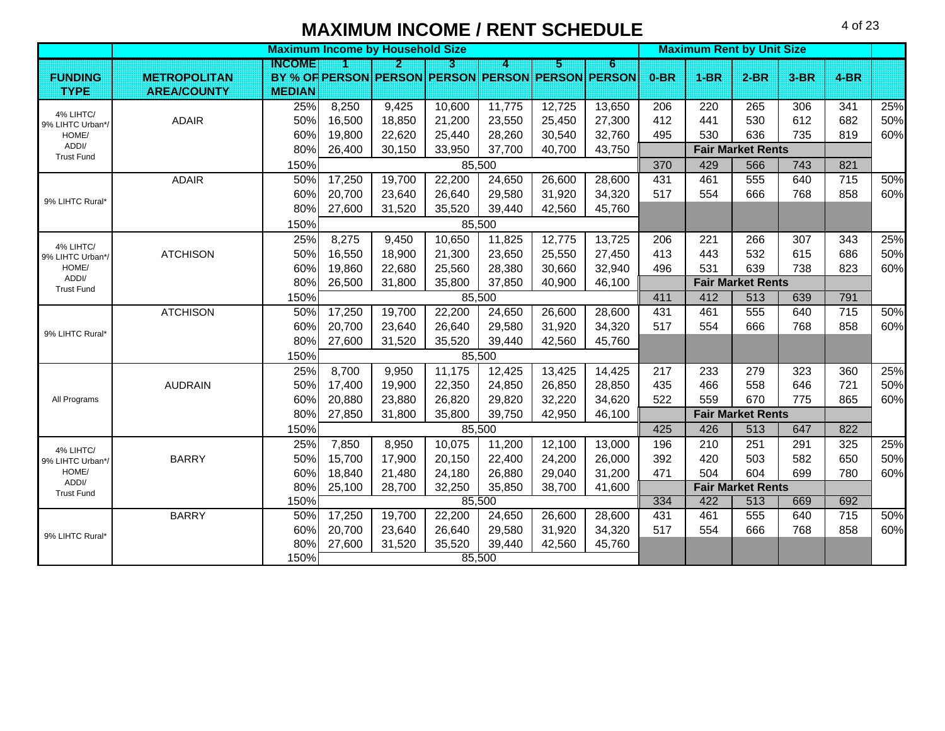**Maximum Income by Household Size All and Size All and Size All and Size All and Size All and Size All and Size All and Size All and Size All and Size All and Size All and Size All and Size All and Size All and Size All an INCOME123456 FUNDING <b>METROPOLITAN PERSON PERSON PERSON PERSON PERSON PERSON 0-BR 1-BR 2-BR 3-BR 4-BRTYPE AREA/COUNTY MEDIAN**25%| 8,250 | 9,425 | 10,600 | 11,775 | 12,725 | 13,650 | 206 | 220 | 265 | 306 | 341 | 25% ADAIRR | 50%| 16,500 | 18,850 | 21,200 | 23,550 | 25,450 | 27,300 | 412 | 441 | 530 | 612 | 682 | 50% 60%| 19,800 | 22,620 | 25,440 | 28,260 | 30,540 | 32,760 | 495 | 530 | 636 | 735 | 819 | 60% 80% 26,400 30,150 33,950 37,700 40,700 43,750 **Fair Market Rents** 150% 370 429 566 743 821ADAIRR 50%| 17,250 | 19,700 | 22,200 | 24,650 | 26,600 | 28,600 | 431 | 461 | 555 | 640 | 715 | 50% 60%| 20,700 | 23,640 | 26,640 | 29,580 | 31,920 | 34,320 | 517 | 554 | 666 | 768 | 858 | 60% 80% 27,600 31,520 35,520 39,440 42,560 45,760 150%25%| 8,275 | 9,450 | 10,650 | 11,825 | 12,775 | 13,725 | 206 | 221 | 266 | 307 | 343 | 25% **ATCHISON** N | 50%| 16,550 | 18,900 | 21,300 | 23,650 | 25,550 | 27,450 | 413 | 443 | 532 | 615 | 686 | 50% 60%| 19,860 | 22,680 | 25,560 | 28,380 | 30,660 | 32,940 | 496 | 531 | 639 | 738 | 823 | 60% 80% 26,500 31,800 35,800 37,850 40,900 46,100 **Fair Market Rents** 150% 411 412 513 639 791ATCHISONN | 50%| 17,250 | 19,700 | 22,200 | 24,650 | 26,600 | 28,600 | 431 | 461 | 555 | 640 | 715 | 50% 60%| 20,700 | 23,640 | 26,640 | 29,580 | 31,920 | 34,320 | 517 | 554 | 666 | 768 | 858 | 60% 80% 27,600 31,520 35,520 39,440 42,560 45,760 150%25%| 8,700 | 9,950 | 11,175 | 12,425 | 13,425 | 14,425 | 217 | 233 | 279 | 323 | 360 | 25% AUDRAIN 50% 17,400 19,900 22,350 24,850 26,850 28,850 435 466 558 646 721 50% 60%| 20,880 | 23,880 | 26,820 | 29,820 | 32,220 | 34,620 | 522 | 559 | 670 | 775 | 865 | 60% 80% 27,850 31,800 35,800 39,750 42,950 46,100 **Fair Market Rents** 150% 425 426 513 647 82225%| 7,850 | 8,950 | 10,075 | 11,200 | 12,100 | 13,000 | 196 | 210 | 251 | 291 | 325 | 25% BARRYY | 50%| 15,700 | 17,900 | 20,150 | 22,400 | 24,200 | 26,000 | 392 | 420 | 503 | 582 | 650 | 50% 60%| 18,840 | 21,480 | 24,180 | 26,880 | 29,040 | 31,200 | 471 | 504 | 604 | 699 | 780 | 60% 80% 25,100 28,700 32,250 35,850 38,700 41,600 **Fair Market Rents** 150% 334 | 422 | 513 | 669 | 692 | 692 | 513 | 669 | 692 | 513 | 513 | 513 | 513 | 513 | 513 | 514 | 514 | 51 BARRYY | 50%| 17,250 | 19,700 | 22,200 | 24,650 | 26,600 | 28,600 | 431 | 461 | 555 | 640 | 715 | 50% 60%| 20,700 | 23,640 | 26,640 | 29,580 | 31,920 | 34,320 | 517 | 554 | 666 | 768 | 858 | 60% 80% 27,600 31,520 35,520 39,440 42,560 45,760 150%9% LIHTC Rural\*All Programs 4% LIHTC/ 9% LIHTC Urban\*/ HOME/ ADDI/ Trust Fund4% LIHTC/ 9% LIHTC Urban\*/ HOME/ ADDI/ Trust Fund9% LIHTC Rural\*4% LIHTC/ 9% LIHTC Urban\*/ HOME/ ADDI/ Trust Fund9% LIHTC Rural\*85,500 85,500 85,500 85,500 85,500 85,500 85,500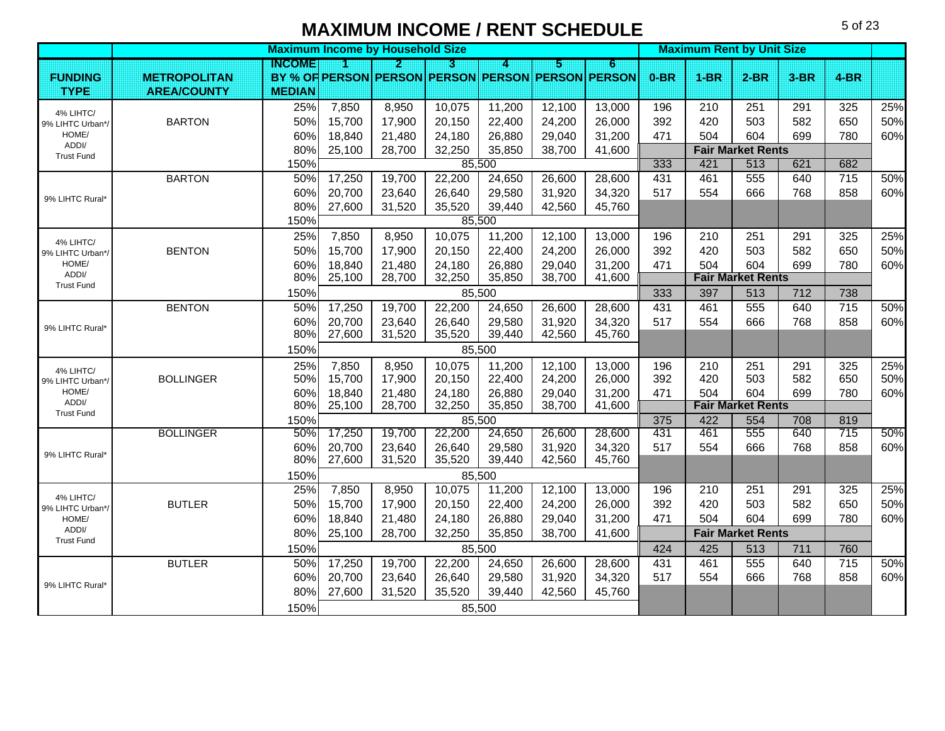**Maximum Income by Household Size All and Size All and Size All and Size All and Size All and Size All and Size All and Size All and Size All and Size All and Size All and Size All and Size All and Size All and Size All an INCOME123456 FUNDING <b>METROPOLITAN PERSON PERSON PERSON PERSON PERSON PERSON 0-BR 1-BR 2-BR 3-BR 4-BRTYPE AREA/COUNTY MEDIAN**25%| 7,850 | 8,950 | 10,075 | 11,200 | 12,100 | 13,000 | 196 | 210 | 251 | 291 | 325 | 25% BARTONN | 50%| 15,700 | 17,900 | 20,150 | 22,400 | 24,200 | 26,000 | 392 | 420 | 503 | 582 | 650 | 50% 60%| 18,840 | 21,480 | 24,180 | 26,880 | 29,040 | 31,200 | 471 | 504 | 604 | 699 | 780 | 60% 80% 25,100 28,700 32,250 35,850 38,700 41,600 **Fair Market Rents** 150% 333 421 513 621 682BARTONN 50%| 17,250 19,700 22,200 24,650 26,600 28,600 431 461 555 640 715 50% 60%| 20,700 | 23,640 | 26,640 | 29,580 | 31,920 | 34,320 | 517 | 554 | 666 | 768 | 858 | 60% 80% 27,600 31,520 35,520 39,440 42,560 45,760 150%25%| 7,850 | 8,950 | 10,075 | 11,200 | 12,100 | 13,000 | 196 | 210 | 251 | 291 | 325 | 25% BENTONN | 50%| 15,700 | 17,900 | 20,150 | 22,400 | 24,200 | 26,000 | 392 | 420 | 503 | 582 | 650 | 50% 60%| 18,840 | 21,480 | 24,180 | 26,880 | 29,040 | 31,200 | 471 | 504 | 604 | 699 | 780 | 60% 80% 25,100 28,700 32,250 35,850 38,700 41,600 **Fair Market Rents** 150% 333 397 513 712 738BENTONN 50%| 17,250 19,700 22,200 24,650 26,600 28,600 431 461 555 640 715 50% 60%| 20,700 | 23,640 | 26,640 | 29,580 | 31,920 | 34,320 | 517 | 554 | 666 | 768 | 858 | 60% 80% 27,600 31,520 35,520 39,440 42,560 45,760 150%25%| 7,850 | 8,950 | 10,075 | 11,200 | 12,100 | 13,000 | 196 | 210 | 251 | 291 | 325 | 25% BOLLINGERR | 50%| 15,700 | 17,900 | 20,150 | 22,400 | 24,200 | 26,000 | 392 | 420 | 503 | 582 | 650 | 50% 60%| 18,840 | 21,480 | 24,180 | 26,880 | 29,040 | 31,200 | 471 | 504 | 604 | 699 | 780 | 60% 80% 25,100 28,700 32,250 35,850 38,700 41,600 **Fair Market Rents** 150% 375 422 554 708 819BOLLINGERR | 50%| 17,250 | 19,700 | 22,200 | 24,650 | 26,600 | 28,600 | 431 | 461 | 555 | 640 | 715 | 50% 60%| 20,700 | 23,640 | 26,640 | 29,580 | 31,920 | 34,320 | 517 | 554 | 666 | 768 | 858 | 60% 80%27,600 | 31,520 | 35,520 | 39,440 | 42,560 | 45,760 150%25%| 7,850 | 8,950 | 10,075 | 11,200 | 12,100 | 13,000 | 196 | 210 | 251 | 291 | 325 | 25% BUTLERR | 50%| 15,700 | 17,900 | 20,150 | 22,400 | 24,200 | 26,000 | 392 | 420 | 503 | 582 | 650 | 50% 60%| 18,840 | 21,480 | 24,180 | 26,880 | 29,040 | 31,200 | 471 | 504 | 604 | 699 | 780 | 60% 80% 25,100 28,700 32,250 35,850 38,700 41,600 **Fair Market Rents** 150% 424 1 425 1 513 1 711 1 760 1 760 1 760 1 760 1 760 1 760 1 760 1 760 1 760 1 760 1 760 1 760 1 760 1 760 BUTLERR | 50%| 17,250 | 19,700 | 22,200 | 24,650 | 26,600 | 28,600 | 431 | 461 | 555 | 640 | 715 | 50% 60%| 20,700 | 23,640 | 26,640 | 29,580 | 31,920 | 34,320 | 517 | 554 | 666 | 768 | 858 | 60% 80% 27,600 31,520 35,520 39,440 42,560 45,760 150% 4% LIHTC/ 9% LIHTC Urban\*/ HOME/ ADDI/ Trust Fund9% LIHTC Rural\*4% LIHTC/ 9% LIHTC Urban\*/ HOME/ ADDI/ Trust Fund9% LIHTC Rural\*4% LIHTC/ 9% LIHTC Urban\*/ HOME/ ADDI/ Trust Fund9% LIHTC Rural\*4% LIHTC/ 9% LIHTC Urban\*/ HOME/ ADDI/ Trust Fund9% LIHTC Rural\* 85,500 85,500 85,500 85,500 85,500 85,500 85,500 85,500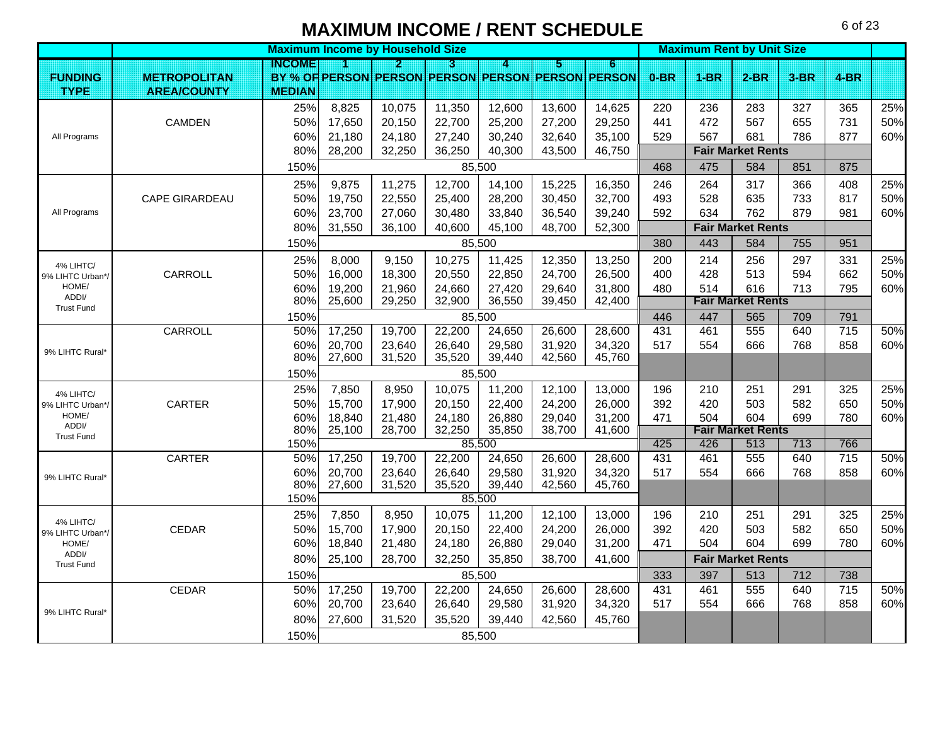**Maximum Income by Household Size All and Size All and Size All and Size All and Size All and Size All and Size All and Size All and Size All and Size All and Size All and Size All and Size All and Size All and Size All an INCOME123456 FUNDING <b>METROPOLITAN PERSON PERSON PERSON PERSON PERSON PERSON 0-BR 1-BR 2-BR 3-BR 4-BRTYPE AREA/COUNTY MEDIAN**25%| 8,825 | 10,075 | 11,350 | 12,600 | 13,600 | 14,625 | 220 | 236 | 283 | 327 | 365 | 25% **CAMDEN**  50% 17,650 20,150 22,700 25,200 27,200 29,250 441 472 567 655 731 50% 60%| 21,180 | 24,180 | 27,240 | 30,240 | 32,640 | 35,100 | 529 | 567 | 681 | 786 | 877 | 60% 80% 28,200 32,250 36,250 40,300 43,500 46,750 **Fair Market Rents** 150% 468 475 584 851 87525%| 9,875 | 11,275 | 12,700 | 14,100 | 15,225 | 16,350 | 246 | 264 | 317 | 366 | 408 | 25% CAPE GIRARDEAUU | 50%| 19,750 | 22,550 | 25,400 | 28,200 | 30,450 | 32,700 | 493 | 528 | 635 | 733 | 817 | 50% 60%| 23,700 | 27,060 | 30,480 | 33,840 | 36,540 | 39,240 | 592 | 634 | 762 | 879 | 981 | 60% 80% 31,550 36,100 40,600 45,100 48,700 52,300 **Fair Market Rents** 150% 380 443 584 755 95125%| 8,000 | 9,150 | 10,275 | 11,425 | 12,350 | 13,250 | 200 | 214 | 256 | 297 | 331 | 25% CARROLLL | 50%| 16,000 | 18,300 | 20,550 | 22,850 | 24,700 | 26,500 | 400 | 428 | 513 | 594 | 662 | 50% 60%| 19,200 | 21,960 | 24,660 | 27,420 | 29,640 | 31,800 | 480 | 514 | 616 | 713 | 795 | 60% 80% 25,600 29,250 32,900 36,550 39,450 42,400 **Fair Market Rents** 150%I 85.500 446 I 447 I 565 I 709 I 791 CARROLLL | 50%| 17,250 | 19,700 | 22,200 | 24,650 | 26,600 | 28,600 | 431 | 461 | 555 | 640 | 715 | 50% 60%| 20,700 | 23,640 | 26,640 | 29,580 | 31,920 | 34,320 | 517 | 554 | 666 | 768 | 858 | 60% 80% 27,600 31,520 35,520 39,440 42,560 45,760 150%25%| 7,850 | 8,950 | 10,075 | 11,200 | 12,100 | 13,000 | 196 | 210 | 251 | 291 | 325 | 25% CARTERR 50%| 15,700 | 17,900 | 20,150 | 22,400 | 24,200 | 26,000 | 392 | 420 | 503 | 582 | 650 | 50% 60%| 18,840 | 21,480 | 24,180 | 26,880 | 29,040 | 31,200 | 471 | 504 | 604 | 699 | 780 | 60% 80%%| 25,100 | 28,700 | 32,250 | 35,850 | 38,700 | 41,600 **| Fair Market Rents** 150% 426 1696 1697 1698 1699 1698 1699 1698 1699 1698 1699 1698 1699 1698 1699 169 CARTER 50% 17,250 19,700 22,200 24,650 26,600 28,600 431 461 555 640 715 50% 60%| 20,700 | 23,640 | 26,640 | 29,580 | 31,920 | 34,320 | 517 | 554 | 666 | 768 | 858 | 60% 80% 27,600 31,520 35,520 39,440 42,560 45,760 150%25%| 7,850 | 8,950 | 10,075 | 11,200 | 12,100 | 13,000 | 196 | 210 | 251 | 291 | 325 | 25% CEDARR | 50%| 15,700 | 17,900 | 20,150 | 22,400 | 24,200 | 26,000 | 392 | 420 | 503 | 582 | 650 | 50% 60%| 18,840 | 21,480 | 24,180 | 26,880 | 29,040 | 31,200 | 471 | 504 | 604 | 699 | 780 | 60% 80% 25,100 28,700 32,250 35,850 38,700 41,600 **Fair Market Rents** 150% 333 397 513 712 738CEDARR | 50%| 17,250 | 19,700 | 22,200 | 24,650 | 26,600 | 28,600 | 431 | 461 | 555 | 640 | 715 | 50% 60%| 20,700 | 23,640 | 26,640 | 29,580 | 31,920 | 34,320 | 517 | 554 | 666 | 768 | 858 | 60% 80%| 27,600 | 31,520 | 35,520 | 39,440 | 42,560 | 45,760 150%All Programs All Programs 4% LIHTC/ 9% LIHTC Urban\*/ HOME/ ADDI/ Trust Fund9% LIHTC Rural\*4% LIHTC/ 9% LIHTC Urban\*/ HOME/ ADDI/ Trust Fund9% LIHTC Rural\*4% LIHTC/ 9% LIHTC Urban\*/ HOME/ ADDI/ Trust Fund9% LIHTC Rural\*85,500 85,500 85,500 85,500 85,500 85,500 85,500 85,500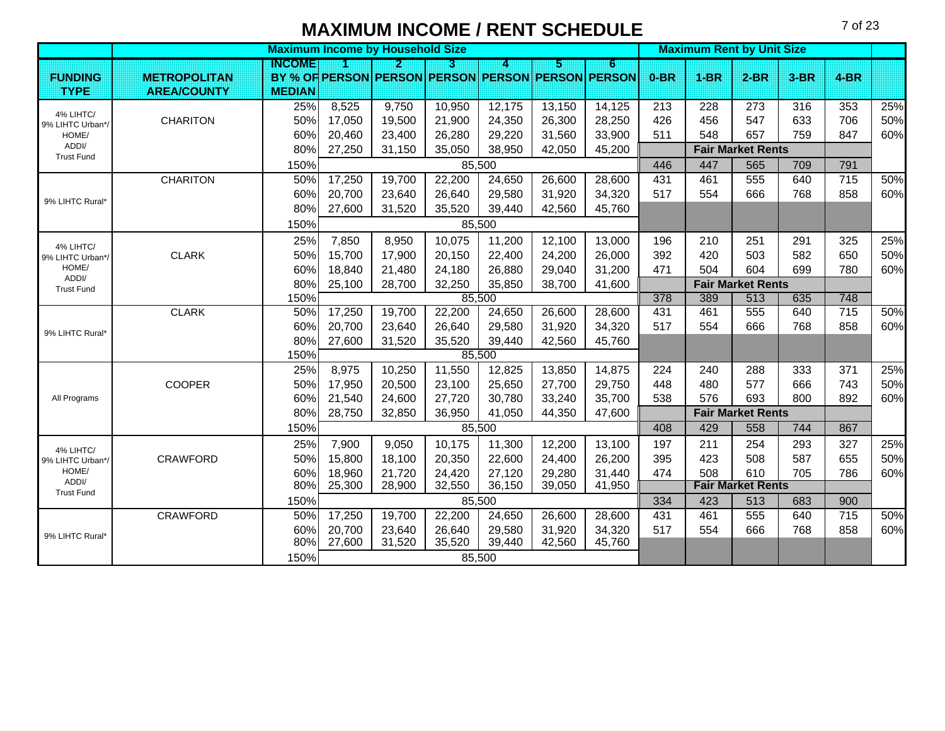**Maximum Income by Household Size All and Size All and Size All and Size All and Size All and Size All and Size All and Size All and Size All and Size All and Size All and Size All and Size All and Size All and Size All an INCOME123456 FUNDING <b>METROPOLITAN PERSON PERSON PERSON PERSON PERSON PERSON 0-BR 1-BR 2-BR 3-BR 4-BRTYPE AREA/COUNTY MEDIAN**25%| 8,525 | 9,750 | 10,950 | 12,175 | 13,150 | 14,125 | 213 | 228 | 273 | 316 | 353 | 25% **CHARITON** N | 50%| 17,050 | 19,500 | 21,900 | 24,350 | 26,300 | 28,250 | 426 | 456 | 547 | 633 | 706 | 50% 60%| 20,460 | 23,400 | 26,280 | 29,220 | 31,560 | 33,900 | 511 | 548 | 657 | 759 | 847 | 60% 80% 27,250 31,150 35,050 38,950 42,050 45,200 **Fair Market Rents** 150% 446 447 565 709 791**CHARITON** N | 50%| 17,250 | 19,700 | 22,200 | 24,650 | 26,600 | 28,600 | 431 | 461 | 555 | 640 | 715 | 50% 60%| 20,700 | 23,640 | 26,640 | 29,580 | 31,920 | 34,320 | 517 | 554 | 666 | 768 | 858 | 60% 80% 27,600 31,520 35,520 39,440 42,560 45,760 150%25%| 7,850 | 8,950 | 10,075 | 11,200 | 12,100 | 13,000 | 196 | 210 | 251 | 291 | 325 | 25% CLARKK | 50%| 15,700 | 17,900 | 20,150 | 22,400 | 24,200 | 26,000 | 392 | 420 | 503 | 582 | 650 | 50% 60%| 18,840 | 21,480 | 24,180 | 26,880 | 29,040 | 31,200 | 471 | 504 | 604 | 699 | 780 | 60% 80% 25,100 28,700 32,250 35,850 38,700 41,600 **Fair Market Rents** 150% 378 1 389 1 513 1 635 1 748 1 378 1 389 1 513 1 635 1 748 CLARKK | 50%| 17,250 | 19,700 | 22,200 | 24,650 | 26,600 | 28,600 | 431 | 461 | 555 | 640 | 715 | 50% 60%| 20,700 | 23,640 | 26,640 | 29,580 | 31,920 | 34,320 | 517 | 554 | 666 | 768 | 858 | 60% 80% 27,600 31,520 35,520 39,440 42,560 45,760 150%25%| 8,975 | 10,250 | 11,550 | 12,825 | 13,850 | 14,875 | 224 | 240 | 288 | 333 | 371 | 25% COOPER 50% 17,950 20,500 23,100 25,650 27,700 29,750 448 480 577 666 743 50% 60%| 21,540 | 24,600 | 27,720 | 30,780 | 33,240 | 35,700 | 538 | 576 | 693 | 800 | 892 | 60% 80% 28,750 32,850 36,950 41,050 44,350 47,600 **Fair Market Rents** 150% 408 429 558 744 86725%| 7,900 | 9,050 | 10,175 | 11,300 | 12,200 | 13,100 | 197 | 211 | 254 | 293 | 327 | 25% CRAWFORD 50% 15,800 18,100 20,350 22,600 24,400 26,200 395 423 508 587 655 50% 60%| 18,960 | 21,720 | 24,420 | 27,120 | 29,280 | 31,440 | 474 | 508 | 610 | 705 | 786 | 60% 80% 25,300 28,900 32,550 36,150 39,050 41,950 **Fair Market Rents** 150% 334 423 513 683 900CRAWFORD 50% 17,250 19,700 22,200 24,650 26,600 28,600 431 461 555 640 715 50% 60%| 20,700 | 23,640 | 26,640 | 29,580 | 31,920 | 34,320 | 517 | 554 | 666 | 768 | 858 | 60% 80% 27,600 31,520 35,520 39,440 42,560 45,760 150%4% LIHTC/ 9% LIHTC Urban\*/ HOME/ ADDI/ Trust Fund9% LIHTC Rural\*4% LIHTC/ 9% LIHTC Urban\*/ HOME/ ADDI/ Trust Fund9% LIHTC Rural\*All Programs 4% LIHTC/ 9% LIHTC Urban\*/ HOME/ ADDI/ Trust Fund9% LIHTC Rural\*85,500 85,500 85,500 85,500 85,500 85,500 85,500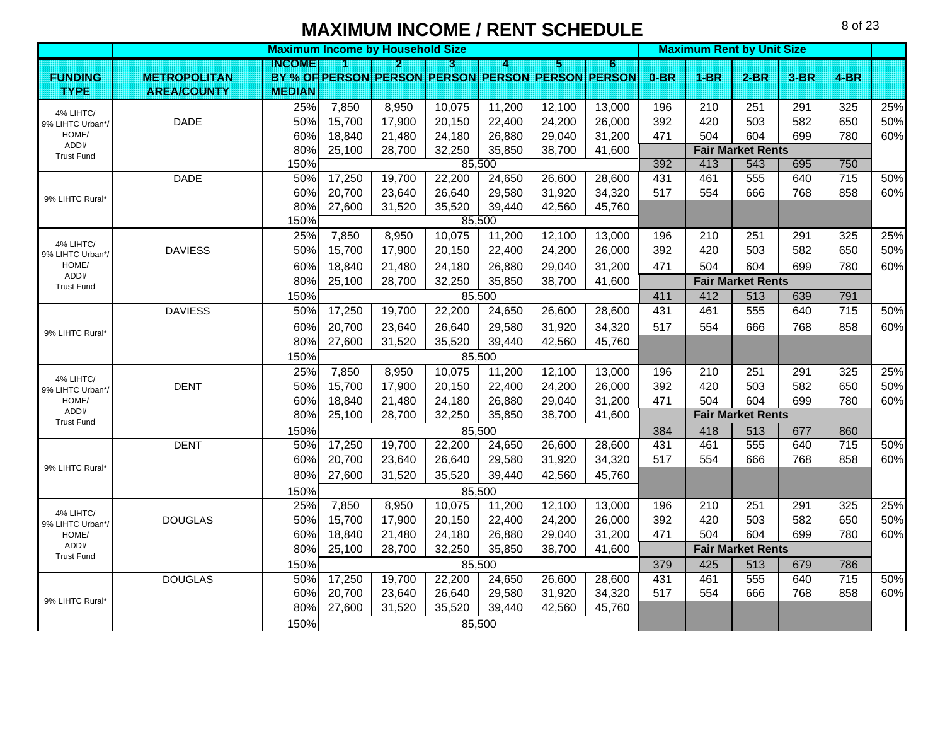**Maximum Income by Household Size All and Size All and Size All and Size All and Size All and Size All and Size All and Size All and Size All and Size All and Size All and Size All and Size All and Size All and Size All an INCOME123456 FUNDING <b>METROPOLITAN PERSON PERSON PERSON PERSON PERSON PERSON 0-BR 1-BR 2-BR 3-BR 4-BRTYPE AREA/COUNTY MEDIAN**25%| 7,850 | 8,950 | 10,075 | 11,200 | 12,100 | 13,000 | 196 | 210 | 251 | 291 | 325 | 25% DADE 50% 15,700 17,900 20,150 22,400 24,200 26,000 392 420 503 582 650 50% 60%| 18,840 | 21,480 | 24,180 | 26,880 | 29,040 | 31,200 | 471 | 504 | 604 | 699 | 780 | 60% 80% 25,100 28,700 32,250 35,850 38,700 41,600 **Fair Market Rents** 150% 392 413 543 695 750DADE 50% 17,250 19,700 22,200 24,650 26,600 28,600 431 461 555 640 715 50% 60%| 20,700 | 23,640 | 26,640 | 29,580 | 31,920 | 34,320 | 517 | 554 | 666 | 768 | 858 | 60% 80% 27,600 31,520 35,520 39,440 42,560 45,760 150%25%| 7,850 | 8,950 | 10,075 | 11,200 | 12,100 | 13,000 | 196 | 210 | 251 | 291 | 325 | 25% DAVIESSS | 50%| 15,700 | 17,900 | 20,150 | 22,400 | 24,200 | 26,000 | 392 | 420 | 503 | 582 | 650 | 50% 60%| 18,840 | 21,480 | 24,180 | 26,880 | 29,040 | 31,200 | 471 | 504 | 604 | 699 | 780 | 60% 80% 25,100 28,700 32,250 35,850 38,700 41,600 **Fair Market Rents** 150% 411 412 513 639 791DAVIESS5 50%| 17,250 | 19,700 | 22,200 | 24,650 | 26,600 | 28,600 | 431 | 461 | 555 | 640 | 715 | 50% 60%| 20,700 | 23,640 | 26,640 | 29,580 | 31,920 | 34,320 | 517 | 554 | 666 | 768 | 858 | 60% 80%| 27,600 | 31,520 | 35,520 | 39,440 | 42,560 | 45,760 150%25%| 7,850 | 8,950 | 10,075 | 11,200 | 12,100 | 13,000 | 196 | 210 | 251 | 291 | 325 | 25% DENTT 50%| 15,700 | 17,900 | 20,150 | 22,400 | 24,200 | 26,000 | 392 | 420 | 503 | 582 | 650 | 50% 60%| 18,840 | 21,480 | 24,180 | 26,880 | 29,040 | 31,200 | 471 | 504 | 604 | 699 | 780 | 60% 80% 25,100 28,700 32,250 35,850 38,700 41,600 **Fair Market Rents** 150% 384 418 513 677 860DENT 50% 17,250 19,700 22,200 24,650 26,600 28,600 431 461 555 640 715 50% 60%| 20,700 | 23,640 | 26,640 | 29,580 | 31,920 | 34,320 | 517 | 554 | 666 | 768 | 858 | 60% 80% 27,600 31,520 35,520 39,440 42,560 45,760 150%25%| 7,850 | 8,950 | 10,075 | 11,200 | 12,100 | 13,000 | 196 | 210 | 251 | 291 | 325 | 25% DOUGLAS500 1 50%| 15,700 | 17,900 | 20,150 | 22,400 | 24,200 | 26,000 | 392 | 420 | 503 | 582 | 650 | 50% 60%| 18,840 | 21,480 | 24,180 | 26,880 | 29,040 | 31,200 | 471 | 504 | 604 | 699 | 780 | 60% 80% 25,100 28,700 32,250 35,850 38,700 41,600 **Fair Market Rents** 150% 379 1 425 1 513 1 679 1 786 1 679 1 786 1 787 1 787 1 787 1 788 1 798 1 798 1 798 1 798 1 798 1 798 1 79 DOUGLAS500 150% 17,250 | 19,700 | 22,200 | 24,650 | 26,600 | 28,600 | 431 | 461 | 555 | 640 | 715 | 50% 60%| 20,700 | 23,640 | 26,640 | 29,580 | 31,920 | 34,320 | 517 | 554 | 666 | 768 | 858 | 60% 80%| 27,600 | 31,520 | 35,520 | 39,440 | 42,560 | 45,760 150%4% LIHTC/ 9% LIHTC Urban\*/ HOME/ ADDI/ Trust Fund9% LIHTC Rural\*4% LIHTC/ 9% LIHTC Urban\*/ HOME/ ADDI/ Trust Fund9% LIHTC Rural<sup>\*</sup> 4% LIHTC/ 9% LIHTC Urban\*/ HOME/ ADDI/ Trust Fund9% LIHTC Rural\*4% LIHTC/ 9% LIHTC Urban\*/ HOME/ ADDI/ Trust Fund9% LIHTC Rural\*85,500 85,500 85,500 85,500 85,500 85,500 85,500 85,500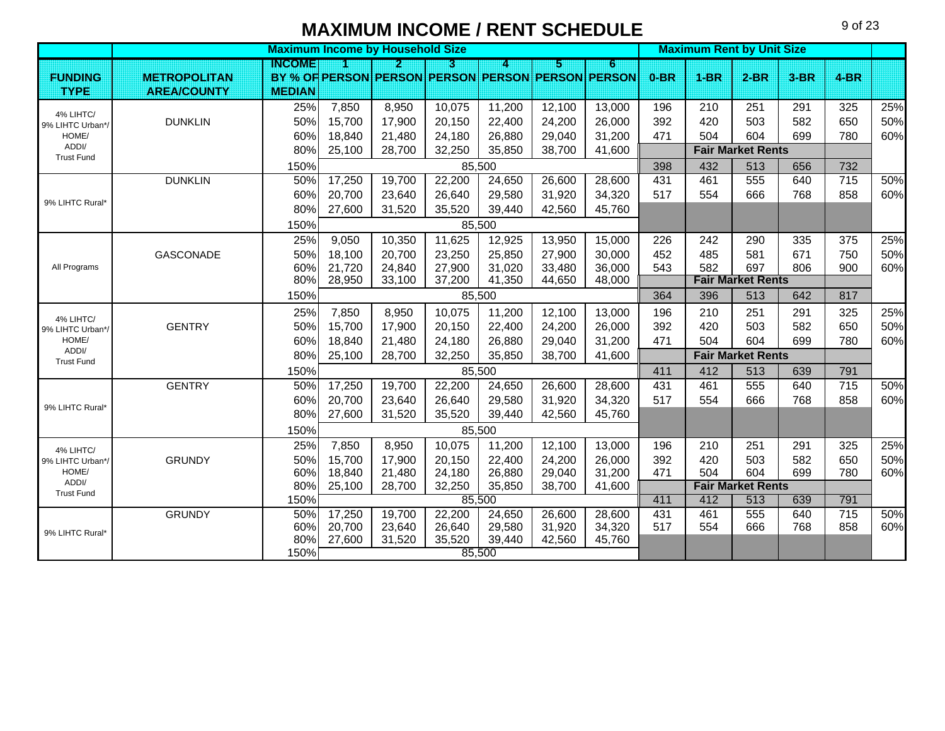**Maximum Income by Household Size All and Size All and Size All and Size All and Size All and Size All and Size All and Size All and Size All and Size All and Size All and Size All and Size All and Size All and Size All an INCOME123456 FUNDING <b>METROPOLITAN PERSON PERSON PERSON PERSON PERSON PERSON 0-BR 1-BR 2-BR 3-BR 4-BRTYPE AREA/COUNTY MEDIAN**25%| 7,850 | 8,950 | 10,075 | 11,200 | 12,100 | 13,000 | 196 | 210 | 251 | 291 | 325 | 25% DUNKLINN | 50%| 15,700 | 17,900 | 20,150 | 22,400 | 24,200 | 26,000 | 392 | 420 | 503 | 582 | 650 | 50% 60%| 18,840 | 21,480 | 24,180 | 26,880 | 29,040 | 31,200 | 471 | 504 | 604 | 699 | 780 | 60% 80% 25,100 28,700 32,250 35,850 38,700 41,600 **Fair Market Rents** 150% 398 432 513 656 732DUNKLINN | 50%| 17,250 | 19,700 | 22,200 | 24,650 | 26,600 | 28,600 | 431 | 461 | 555 | 640 | 715 | 50% 60%| 20,700 | 23,640 | 26,640 | 29,580 | 31,920 | 34,320 | 517 | 554 | 666 | 768 | 858 | 60% 80% 27,600 31,520 35,520 39,440 42,560 45,760 150%25%| 9,050 | 10,350 | 11,625 | 12,925 | 13,950 | 15,000 | 226 | 242 | 290 | 335 | 375 | 25% GASCONADE 50% 18,100 20,700 23,250 25,850 27,900 30,000 452 485 581 671 750 50% 60%| 21,720 | 24,840 | 27,900 | 31,020 | 33,480 | 36,000 | 543 | 582 | 697 | 806 | 900 | 60% 80% 28,950 33,100 37,200 41,350 44,650 48,000 **Fair Market Rents** 150% 364 1 396 1 513 1642 1647 1659 1651 1642 1642 1644 1750 1642 1644 1642 16517 25%| 7,850 | 8,950 | 10,075 | 11,200 | 12,100 | 13,000 | 196 | 210 | 251 | 291 | 325 | 25% **GENTRY** Y 50%| 15,700 | 17,900 | 20,150 | 22,400 | 24,200 | 26,000 | 392 | 420 | 503 | 582 | 650 | 50% 60%| 18,840 | 21,480 | 24,180 | 26,880 | 29,040 | 31,200 | 471 | 504 | 604 | 699 | 780 | 60% 80% 25,100 28,700 32,250 35,850 38,700 41,600 **Fair Market Rents** 150% 411 412 513 639 791**GENTRY**  50% 17,250 19,700 22,200 24,650 26,600 28,600 431 461 555 640 715 50% 60%| 20,700 | 23,640 | 26,640 | 29,580 | 31,920 | 34,320 | 517 | 554 | 666 | 768 | 858 | 60% 80%| 27,600 | 31,520 | 35,520 | 39,440 | 42,560 | 45,760 150%25%| 7,850 | 8,950 | 10,075 | 11,200 | 12,100 | 13,000 | 196 | 210 | 251 | 291 | 325 | 25% GRUNDYY | 50%| 15,700 | 17,900 | 20,150 | 22,400 | 24,200 | 26,000 | 392 | 420 | 503 | 582 | 650 | 50% 60%| 18,840 | 21,480 | 24,180 | 26,880 | 29,040 | 31,200 | 471 | 504 | 604 | 699 | 780 | 60% 80% 25,100 28,700 32,250 35,850 38,700 41,600 **Fair Market Rents** 150% 411 412 513 639 791**GRUNDY**  50% 17,250 19,700 22,200 24,650 26,600 28,600 431 461 555 640 715 50% 60%| 20,700 | 23,640 | 26,640 | 29,580 | 31,920 | 34,320 | 517 | 554 | 666 | 768 | 858 | 60% 80%27,600 31,520 35,520 39,440 42,560 45,760 150%4% LIHTC/ 9% LIHTC Urban\*/ HOME/ ADDI/ Trust Fund9% LIHTC Rural\*All Programs 4% LIHTC/ 9% LIHTC Urban\*/ HOME/ ADDI/ Trust Fund9% LIHTC Rural\*4% LIHTC/ 9% LIHTC Urban\*/ HOME/ ADDI/ Trust Fund9% LIHTC Rural\*85,500 85,500 85,500 85,500 85,500 85,500 85,500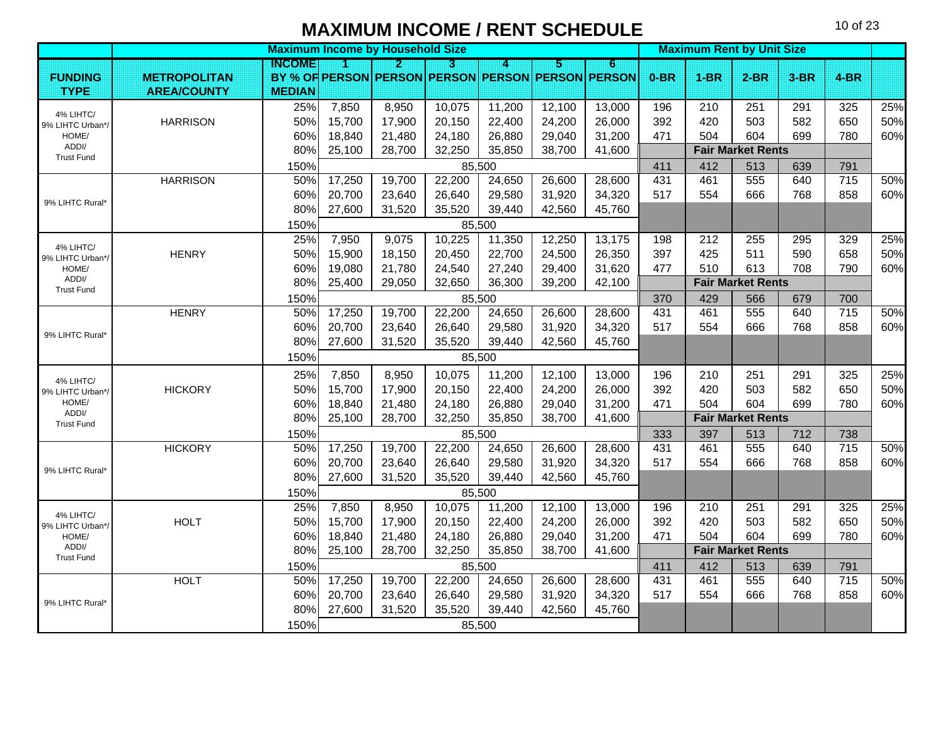|                               |                     |               | <b>Maximum Income by Household Size</b> |        |        |        |        |                                                   |        | <b>Maximum Rent by Unit Size</b> |                          |        |        |     |
|-------------------------------|---------------------|---------------|-----------------------------------------|--------|--------|--------|--------|---------------------------------------------------|--------|----------------------------------|--------------------------|--------|--------|-----|
|                               |                     | INGOME        | M                                       | И      | n      | 4.     | И      | 6                                                 |        |                                  |                          |        |        |     |
| <b>FUNDING</b>                | <b>METROPOLITAN</b> |               |                                         |        |        |        |        | BY % OF PERSON PERSON PERSON PERSON PERSON PERSON | $0-BR$ | $1-BR$                           | $2-BR$                   | $3-BR$ | $4-BR$ |     |
| <b>TYPE</b>                   | <b>AREA/COUNTY</b>  | <b>MEDIAN</b> |                                         |        |        |        |        |                                                   |        |                                  |                          |        |        |     |
| 4% LIHTC/                     |                     | 25%           | 7,850                                   | 8,950  | 10,075 | 11,200 | 12,100 | 13,000                                            | 196    | 210                              | 251                      | 291    | 325    | 25% |
| 9% LIHTC Urban*/              | <b>HARRISON</b>     | 50%           | 15,700                                  | 17,900 | 20,150 | 22,400 | 24,200 | 26,000                                            | 392    | 420                              | 503                      | 582    | 650    | 50% |
| HOME/<br>ADDI/                |                     | 60%           | 18,840                                  | 21,480 | 24,180 | 26,880 | 29,040 | 31,200                                            | 471    | 504                              | 604                      | 699    | 780    | 60% |
| <b>Trust Fund</b>             |                     | 80%           | 25,100                                  | 28,700 | 32,250 | 35,850 | 38,700 | 41,600                                            |        |                                  | <b>Fair Market Rents</b> |        |        |     |
|                               |                     | 150%          |                                         |        |        | 85,500 |        |                                                   | 411    | 412                              | 513                      | 639    | 791    |     |
|                               | <b>HARRISON</b>     | 50%           | 17,250                                  | 19,700 | 22,200 | 24,650 | 26,600 | 28,600                                            | 431    | 461                              | 555                      | 640    | 715    | 50% |
| 9% LIHTC Rural*               |                     | 60%           | 20,700                                  | 23,640 | 26,640 | 29,580 | 31,920 | 34,320                                            | 517    | 554                              | 666                      | 768    | 858    | 60% |
|                               |                     | 80%           | 27,600                                  | 31,520 | 35,520 | 39,440 | 42,560 | 45,760                                            |        |                                  |                          |        |        |     |
|                               |                     | 150%          |                                         |        |        | 85,500 |        |                                                   |        |                                  |                          |        |        |     |
| 4% LIHTC/                     |                     | 25%           | 7,950                                   | 9,075  | 10,225 | 11,350 | 12,250 | 13,175                                            | 198    | 212                              | 255                      | 295    | 329    | 25% |
| 9% LIHTC Urban*               | <b>HENRY</b>        | 50%           | 15,900                                  | 18,150 | 20,450 | 22,700 | 24,500 | 26,350                                            | 397    | 425                              | 511                      | 590    | 658    | 50% |
| HOME/                         |                     | 60%           | 19,080                                  | 21,780 | 24,540 | 27,240 | 29,400 | 31,620                                            | 477    | 510                              | 613                      | 708    | 790    | 60% |
| ADDI/<br><b>Trust Fund</b>    |                     | 80%           | 25,400                                  | 29,050 | 32,650 | 36,300 | 39,200 | 42,100                                            |        |                                  | <b>Fair Market Rents</b> |        |        |     |
|                               |                     | 150%          |                                         |        |        | 85,500 |        |                                                   | 370    | 429                              | 566                      | 679    | 700    |     |
|                               | <b>HENRY</b>        | 50%           | 17,250                                  | 19,700 | 22,200 | 24,650 | 26,600 | 28,600                                            | 431    | 461                              | 555                      | 640    | 715    | 50% |
| 9% LIHTC Rural*               |                     | 60%           | 20,700                                  | 23,640 | 26,640 | 29,580 | 31,920 | 34,320                                            | 517    | 554                              | 666                      | 768    | 858    | 60% |
|                               |                     | 80%           | 27,600                                  | 31,520 | 35,520 | 39,440 | 42,560 | 45,760                                            |        |                                  |                          |        |        |     |
|                               |                     | 150%          |                                         |        |        | 85,500 |        |                                                   |        |                                  |                          |        |        |     |
| 4% LIHTC/                     |                     | 25%           | 7,850                                   | 8,950  | 10,075 | 11,200 | 12,100 | 13,000                                            | 196    | 210                              | 251                      | 291    | 325    | 25% |
| 9% LIHTC Urban*/              | <b>HICKORY</b>      | 50%           | 15,700                                  | 17,900 | 20,150 | 22,400 | 24,200 | 26,000                                            | 392    | 420                              | 503                      | 582    | 650    | 50% |
| HOME/                         |                     | 60%           | 18,840                                  | 21,480 | 24,180 | 26,880 | 29,040 | 31,200                                            | 471    | 504                              | 604                      | 699    | 780    | 60% |
| ADDI/<br><b>Trust Fund</b>    |                     | 80%           | 25,100                                  | 28,700 | 32,250 | 35,850 | 38,700 | 41,600                                            |        |                                  | <b>Fair Market Rents</b> |        |        |     |
|                               |                     | 150%          |                                         |        |        | 85,500 |        |                                                   | 333    | 397                              | 513                      | 712    | 738    |     |
|                               | <b>HICKORY</b>      | 50%           | 17,250                                  | 19,700 | 22,200 | 24,650 | 26,600 | 28,600                                            | 431    | 461                              | 555                      | 640    | 715    | 50% |
|                               |                     | 60%           | 20,700                                  | 23,640 | 26,640 | 29,580 | 31,920 | 34,320                                            | 517    | 554                              | 666                      | 768    | 858    | 60% |
| 9% LIHTC Rural*               |                     | 80%           | 27,600                                  | 31,520 | 35,520 | 39,440 | 42,560 | 45,760                                            |        |                                  |                          |        |        |     |
|                               |                     | 150%          |                                         |        |        | 85,500 |        |                                                   |        |                                  |                          |        |        |     |
|                               |                     | 25%           | 7,850                                   | 8,950  | 10,075 | 11,200 | 12,100 | 13,000                                            | 196    | 210                              | 251                      | 291    | 325    | 25% |
| 4% LIHTC/<br>9% LIHTC Urban*/ | <b>HOLT</b>         | 50%           | 15,700                                  | 17,900 | 20,150 | 22,400 | 24,200 | 26,000                                            | 392    | 420                              | 503                      | 582    | 650    | 50% |
| HOME/                         |                     | 60%           | 18,840                                  | 21,480 | 24,180 | 26,880 | 29,040 | 31,200                                            | 471    | 504                              | 604                      | 699    | 780    | 60% |
| ADDI/<br><b>Trust Fund</b>    |                     | 80%           | 25,100                                  | 28,700 | 32,250 | 35,850 | 38,700 | 41,600                                            |        |                                  | <b>Fair Market Rents</b> |        |        |     |
|                               |                     | 150%          |                                         |        |        | 85,500 |        |                                                   | 411    | 412                              | 513                      | 639    | 791    |     |
|                               | <b>HOLT</b>         | 50%           | 17,250                                  | 19,700 | 22,200 | 24,650 | 26,600 | 28,600                                            | 431    | 461                              | 555                      | 640    | 715    | 50% |
|                               |                     | 60%           | 20,700                                  | 23,640 | 26,640 | 29,580 | 31,920 | 34,320                                            | 517    | 554                              | 666                      | 768    | 858    | 60% |
| 9% LIHTC Rural*               |                     | 80%           | 27,600                                  | 31,520 | 35,520 | 39,440 | 42,560 | 45,760                                            |        |                                  |                          |        |        |     |
|                               |                     | 150%          |                                         |        |        | 85,500 |        |                                                   |        |                                  |                          |        |        |     |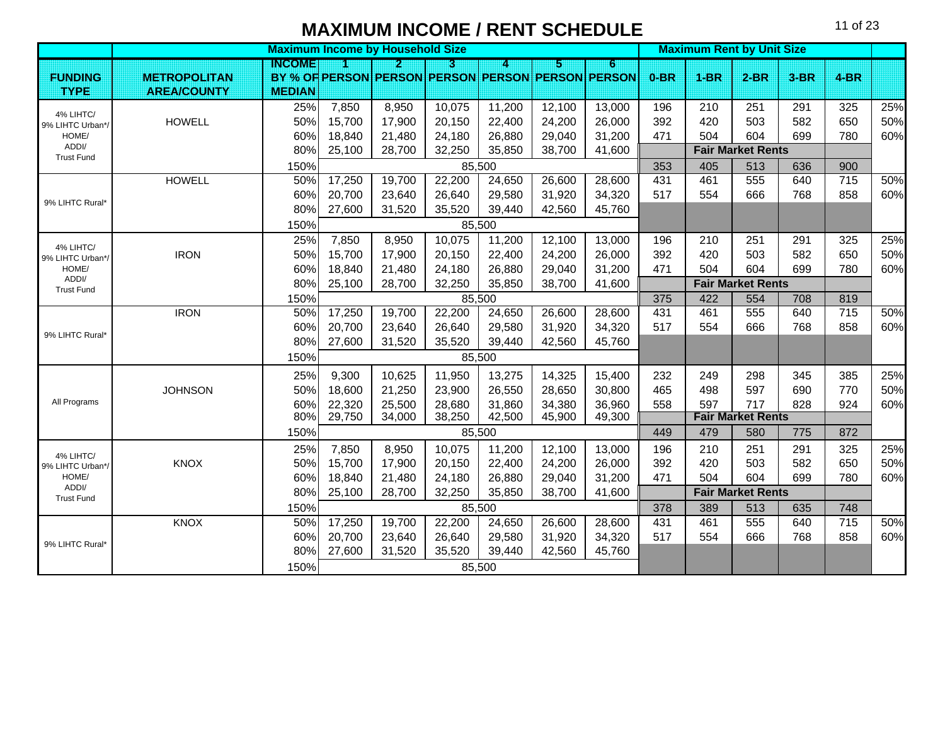|                               |                     |               | <b>Maximum Income by Household Size</b> |        |        |        |        |                                                   |        |        | <b>Maximum Rent by Unit Size</b> |        |                 |     |
|-------------------------------|---------------------|---------------|-----------------------------------------|--------|--------|--------|--------|---------------------------------------------------|--------|--------|----------------------------------|--------|-----------------|-----|
|                               |                     | INGOMEI       |                                         | 2      | П      | 4      | Б      | 6                                                 |        |        |                                  |        |                 |     |
| <b>FUNDING</b>                | <b>METROPOLITAN</b> |               |                                         |        |        |        |        | BY % OF PERSON PERSON PERSON PERSON PERSON PERSON | $0-BR$ | $1-BR$ | $2-BR$                           | $3-BR$ | $4-BR$          |     |
| <b>TYPE</b>                   | <b>AREA/COUNTY</b>  | <b>MEDIAN</b> |                                         |        |        |        |        |                                                   |        |        |                                  |        |                 |     |
| 4% LIHTC/                     |                     | 25%           | 7,850                                   | 8,950  | 10,075 | 11,200 | 12,100 | 13,000                                            | 196    | 210    | 251                              | 291    | 325             | 25% |
| 9% LIHTC Urban*/              | <b>HOWELL</b>       | 50%           | 15,700                                  | 17,900 | 20,150 | 22,400 | 24,200 | 26,000                                            | 392    | 420    | 503                              | 582    | 650             | 50% |
| HOME/                         |                     | 60%           | 18,840                                  | 21,480 | 24,180 | 26,880 | 29,040 | 31,200                                            | 471    | 504    | 604                              | 699    | 780             | 60% |
| ADDI/<br><b>Trust Fund</b>    |                     | 80%           | 25,100                                  | 28,700 | 32,250 | 35,850 | 38,700 | 41,600                                            |        |        | <b>Fair Market Rents</b>         |        |                 |     |
|                               |                     | 150%          |                                         |        |        | 85,500 |        |                                                   | 353    | 405    | 513                              | 636    | 900             |     |
|                               | <b>HOWELL</b>       | 50%           | 17,250                                  | 19,700 | 22,200 | 24,650 | 26,600 | 28,600                                            | 431    | 461    | 555                              | 640    | $\frac{1}{715}$ | 50% |
| 9% LIHTC Rural*               |                     | 60%           | 20,700                                  | 23,640 | 26,640 | 29,580 | 31,920 | 34,320                                            | 517    | 554    | 666                              | 768    | 858             | 60% |
|                               |                     | 80%           | 27,600                                  | 31,520 | 35,520 | 39,440 | 42,560 | 45,760                                            |        |        |                                  |        |                 |     |
|                               |                     | 150%          |                                         |        |        | 85,500 |        |                                                   |        |        |                                  |        |                 |     |
| 4% LIHTC/                     |                     | 25%           | 7,850                                   | 8,950  | 10,075 | 11,200 | 12,100 | 13,000                                            | 196    | 210    | 251                              | 291    | 325             | 25% |
| 9% LIHTC Urban*/              | <b>IRON</b>         | 50%           | 15,700                                  | 17,900 | 20,150 | 22,400 | 24,200 | 26,000                                            | 392    | 420    | 503                              | 582    | 650             | 50% |
| HOME/                         |                     | 60%           | 18,840                                  | 21,480 | 24,180 | 26,880 | 29,040 | 31,200                                            | 471    | 504    | 604                              | 699    | 780             | 60% |
| ADDI/<br><b>Trust Fund</b>    |                     | 80%           | 25,100                                  | 28,700 | 32,250 | 35,850 | 38,700 | 41,600                                            |        |        | <b>Fair Market Rents</b>         |        |                 |     |
|                               |                     | 150%          |                                         |        |        | 85,500 |        |                                                   | 375    | 422    | 554                              | 708    | 819             |     |
|                               | <b>IRON</b>         | 50%           | 17,250                                  | 19,700 | 22,200 | 24,650 | 26,600 | 28,600                                            | 431    | 461    | 555                              | 640    | $\frac{1}{715}$ | 50% |
| 9% LIHTC Rural*               |                     | 60%           | 20,700                                  | 23,640 | 26,640 | 29,580 | 31,920 | 34,320                                            | 517    | 554    | 666                              | 768    | 858             | 60% |
|                               |                     | 80%           | 27,600                                  | 31,520 | 35,520 | 39,440 | 42,560 | 45,760                                            |        |        |                                  |        |                 |     |
|                               |                     | 150%          |                                         |        |        | 85,500 |        |                                                   |        |        |                                  |        |                 |     |
|                               |                     | 25%           | 9,300                                   | 10,625 | 11,950 | 13,275 | 14,325 | 15,400                                            | 232    | 249    | 298                              | 345    | 385             | 25% |
|                               | <b>JOHNSON</b>      | 50%           | 18,600                                  | 21,250 | 23,900 | 26,550 | 28,650 | 30,800                                            | 465    | 498    | 597                              | 690    | 770             | 50% |
| All Programs                  |                     | 60%           | 22,320                                  | 25,500 | 28,680 | 31,860 | 34,380 | 36,960                                            | 558    | 597    | 717                              | 828    | 924             | 60% |
|                               |                     | 80%           | 29,750                                  | 34,000 | 38,250 | 42,500 | 45,900 | 49,300                                            |        |        | <b>Fair Market Rents</b>         |        |                 |     |
|                               |                     | 150%          |                                         |        |        | 85,500 |        |                                                   | 449    | 479    | 580                              | 775    | 872             |     |
|                               |                     | 25%           | 7,850                                   | 8,950  | 10,075 | 11,200 | 12,100 | 13,000                                            | 196    | 210    | 251                              | 291    | 325             | 25% |
| 4% LIHTC/<br>9% LIHTC Urban*/ | <b>KNOX</b>         | 50%           | 15,700                                  | 17,900 | 20,150 | 22,400 | 24,200 | 26,000                                            | 392    | 420    | 503                              | 582    | 650             | 50% |
| HOME/                         |                     | 60%           | 18,840                                  | 21,480 | 24,180 | 26,880 | 29,040 | 31,200                                            | 471    | 504    | 604                              | 699    | 780             | 60% |
| ADDI/<br><b>Trust Fund</b>    |                     | 80%           | 25,100                                  | 28,700 | 32,250 | 35,850 | 38,700 | 41,600                                            |        |        | <b>Fair Market Rents</b>         |        |                 |     |
|                               |                     | 150%          |                                         |        |        | 85,500 |        |                                                   | 378    | 389    | 513                              | 635    | 748             |     |
|                               | KNOX                | 50%           | 17,250                                  | 19,700 | 22,200 | 24,650 | 26,600 | 28,600                                            | 431    | 461    | 555                              | 640    | $\frac{1}{715}$ | 50% |
|                               |                     | 60%           | 20,700                                  | 23,640 | 26,640 | 29,580 | 31,920 | 34,320                                            | 517    | 554    | 666                              | 768    | 858             | 60% |
| 9% LIHTC Rural*               |                     | 80%           | 27,600                                  | 31,520 | 35,520 | 39,440 | 42,560 | 45,760                                            |        |        |                                  |        |                 |     |
|                               |                     | 150%          |                                         |        |        | 85,500 |        |                                                   |        |        |                                  |        |                 |     |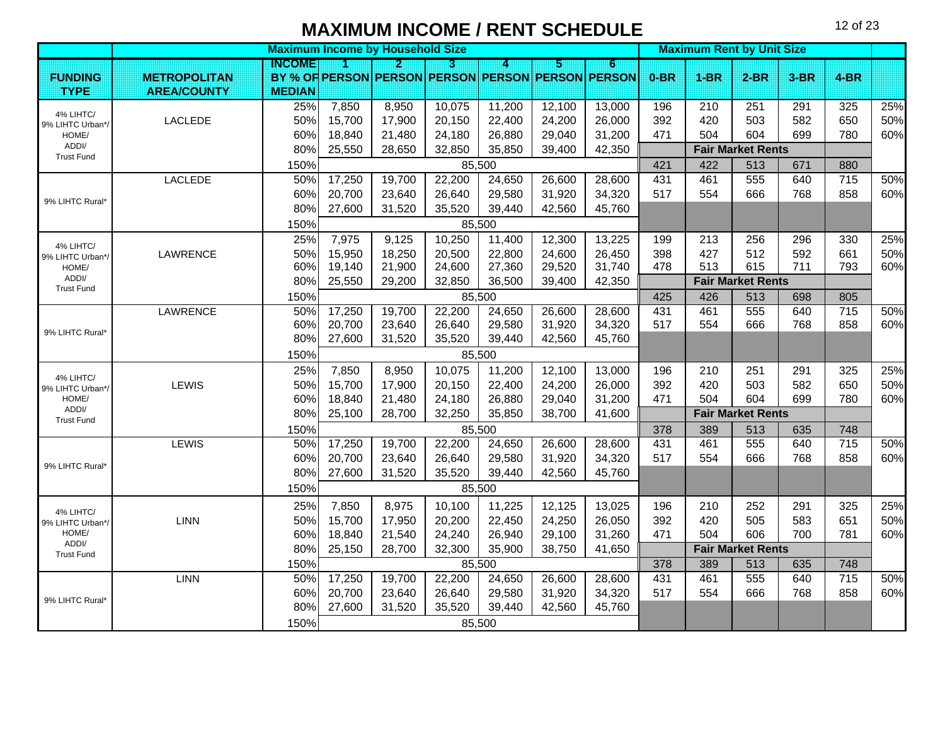|                               |                     |               | <b>Maximum Income by Household Size</b> |        |        |        |        |                                                   |        |        | <b>Maximum Rent by Unit Size</b> |        |        |     |
|-------------------------------|---------------------|---------------|-----------------------------------------|--------|--------|--------|--------|---------------------------------------------------|--------|--------|----------------------------------|--------|--------|-----|
|                               |                     | INGOME        | И                                       | И      | n      | 7      | И      | 6                                                 |        |        |                                  |        |        |     |
| <b>FUNDING</b>                | <b>METROPOLITAN</b> |               |                                         |        |        |        |        | BY % OF PERSON PERSON PERSON PERSON PERSON PERSON | $0-BR$ | $1-BR$ | $2-BR$                           | $3-BR$ | $4-BR$ |     |
| <b>TYPE</b>                   | <b>AREA/COUNTY</b>  | <b>MEDIAN</b> |                                         |        |        |        |        |                                                   |        |        |                                  |        |        |     |
| 4% LIHTC/                     |                     | 25%           | 7,850                                   | 8,950  | 10,075 | 11,200 | 12,100 | 13,000                                            | 196    | 210    | 251                              | 291    | 325    | 25% |
| 9% LIHTC Urban*               | LACLEDE             | 50%           | 15,700                                  | 17,900 | 20,150 | 22,400 | 24,200 | 26,000                                            | 392    | 420    | 503                              | 582    | 650    | 50% |
| HOME/<br>ADDI/                |                     | 60%           | 18,840                                  | 21,480 | 24,180 | 26,880 | 29,040 | 31,200                                            | 471    | 504    | 604                              | 699    | 780    | 60% |
| <b>Trust Fund</b>             |                     | 80%           | 25,550                                  | 28,650 | 32,850 | 35,850 | 39,400 | 42,350                                            |        |        | <b>Fair Market Rents</b>         |        |        |     |
|                               |                     | 150%          |                                         |        |        | 85,500 |        |                                                   | 421    | 422    | 513                              | 671    | 880    |     |
|                               | <b>LACLEDE</b>      | 50%           | 17,250                                  | 19,700 | 22,200 | 24,650 | 26,600 | 28,600                                            | 431    | 461    | 555                              | 640    | 715    | 50% |
| 9% LIHTC Rural*               |                     | 60%           | 20,700                                  | 23,640 | 26,640 | 29,580 | 31,920 | 34,320                                            | 517    | 554    | 666                              | 768    | 858    | 60% |
|                               |                     | 80%           | 27,600                                  | 31,520 | 35,520 | 39,440 | 42,560 | 45,760                                            |        |        |                                  |        |        |     |
|                               |                     | 150%          |                                         |        |        | 85,500 |        |                                                   |        |        |                                  |        |        |     |
| 4% LIHTC/                     |                     | 25%           | 7,975                                   | 9,125  | 10,250 | 11,400 | 12,300 | 13,225                                            | 199    | 213    | 256                              | 296    | 330    | 25% |
| 9% LIHTC Urban*/              | LAWRENCE            | 50%           | 15,950                                  | 18,250 | 20,500 | 22,800 | 24,600 | 26,450                                            | 398    | 427    | 512                              | 592    | 661    | 50% |
| HOME/                         |                     | 60%           | 19,140                                  | 21,900 | 24,600 | 27,360 | 29,520 | 31,740                                            | 478    | 513    | 615                              | 711    | 793    | 60% |
| ADDI/<br><b>Trust Fund</b>    |                     | 80%           | 25,550                                  | 29,200 | 32,850 | 36,500 | 39,400 | 42,350                                            |        |        | <b>Fair Market Rents</b>         |        |        |     |
|                               |                     | 150%          |                                         |        |        | 85,500 |        |                                                   | 425    | 426    | 513                              | 698    | 805    |     |
|                               | LAWRENCE            | 50%           | 17,250                                  | 19,700 | 22,200 | 24,650 | 26,600 | 28,600                                            | 431    | 461    | 555                              | 640    | 715    | 50% |
| 9% LIHTC Rural*               |                     | 60%           | 20,700                                  | 23,640 | 26,640 | 29,580 | 31,920 | 34,320                                            | 517    | 554    | 666                              | 768    | 858    | 60% |
|                               |                     | 80%           | 27,600                                  | 31,520 | 35,520 | 39,440 | 42,560 | 45,760                                            |        |        |                                  |        |        |     |
|                               |                     | 150%          |                                         |        |        | 85,500 |        |                                                   |        |        |                                  |        |        |     |
| 4% LIHTC/                     |                     | 25%           | 7,850                                   | 8,950  | 10,075 | 11,200 | 12,100 | 13,000                                            | 196    | 210    | 251                              | 291    | 325    | 25% |
| 9% LIHTC Urban*/              | LEWIS               | 50%           | 15,700                                  | 17,900 | 20,150 | 22,400 | 24,200 | 26,000                                            | 392    | 420    | 503                              | 582    | 650    | 50% |
| HOME/                         |                     | 60%           | 18,840                                  | 21,480 | 24,180 | 26,880 | 29,040 | 31,200                                            | 471    | 504    | 604                              | 699    | 780    | 60% |
| ADDI/<br><b>Trust Fund</b>    |                     | 80%           | 25,100                                  | 28,700 | 32,250 | 35,850 | 38,700 | 41,600                                            |        |        | <b>Fair Market Rents</b>         |        |        |     |
|                               |                     | 150%          |                                         |        |        | 85,500 |        |                                                   | 378    | 389    | 513                              | 635    | 748    |     |
|                               | LEWIS               | 50%           | 17,250                                  | 19,700 | 22,200 | 24,650 | 26,600 | 28,600                                            | 431    | 461    | 555                              | 640    | 715    | 50% |
| 9% LIHTC Rural*               |                     | 60%           | 20,700                                  | 23,640 | 26,640 | 29,580 | 31,920 | 34,320                                            | 517    | 554    | 666                              | 768    | 858    | 60% |
|                               |                     | 80%           | 27,600                                  | 31,520 | 35,520 | 39,440 | 42,560 | 45,760                                            |        |        |                                  |        |        |     |
|                               |                     | 150%          |                                         |        |        | 85,500 |        |                                                   |        |        |                                  |        |        |     |
|                               |                     | 25%           | 7,850                                   | 8,975  | 10,100 | 11,225 | 12,125 | 13,025                                            | 196    | 210    | 252                              | 291    | 325    | 25% |
| 4% LIHTC/<br>9% LIHTC Urban*/ | <b>LINN</b>         | 50%           | 15,700                                  | 17,950 | 20,200 | 22,450 | 24,250 | 26,050                                            | 392    | 420    | 505                              | 583    | 651    | 50% |
| HOME/                         |                     | 60%           | 18,840                                  | 21,540 | 24,240 | 26,940 | 29,100 | 31,260                                            | 471    | 504    | 606                              | 700    | 781    | 60% |
| ADDI/<br><b>Trust Fund</b>    |                     | 80%           | 25,150                                  | 28,700 | 32,300 | 35,900 | 38,750 | 41,650                                            |        |        | <b>Fair Market Rents</b>         |        |        |     |
|                               |                     | 150%          |                                         |        |        | 85,500 |        |                                                   | 378    | 389    | 513                              | 635    | 748    |     |
|                               | <b>LINN</b>         | 50%           | 17,250                                  | 19,700 | 22,200 | 24,650 | 26,600 | 28,600                                            | 431    | 461    | 555                              | 640    | 715    | 50% |
|                               |                     | 60%           | 20,700                                  | 23,640 | 26,640 | 29,580 | 31,920 | 34,320                                            | 517    | 554    | 666                              | 768    | 858    | 60% |
| 9% LIHTC Rural*               |                     | 80%           | 27,600                                  | 31,520 | 35,520 | 39,440 | 42,560 | 45,760                                            |        |        |                                  |        |        |     |
|                               |                     | 150%          |                                         |        |        | 85,500 |        |                                                   |        |        |                                  |        |        |     |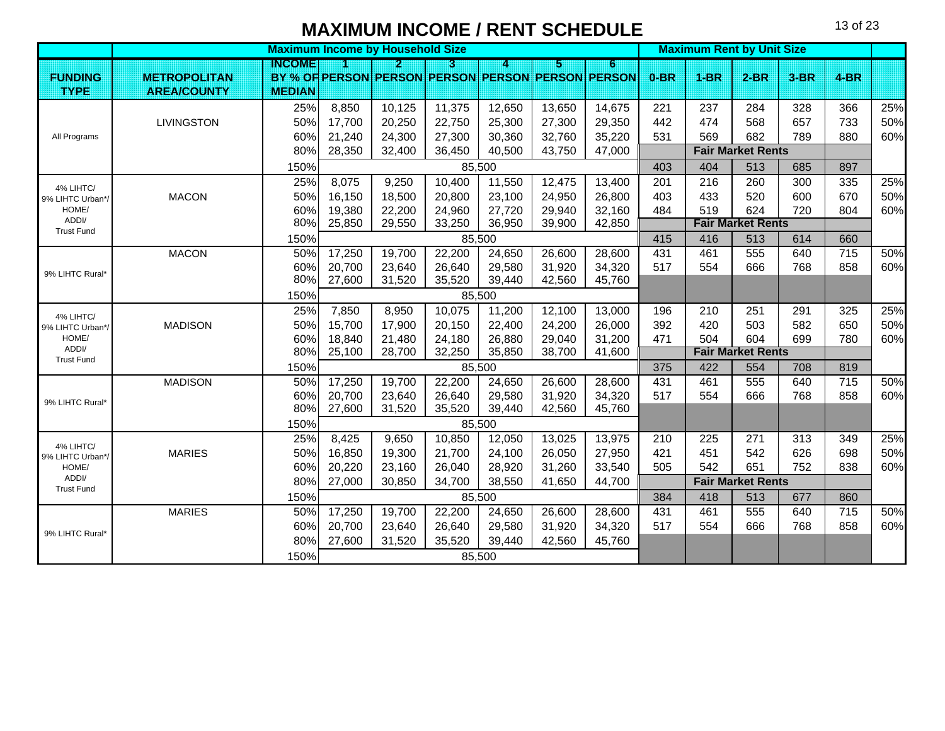|                            |                     |               | <b>Maximum Income by Household Size</b> |        |        |        |        |                                                   |        | <b>Maximum Rent by Unit Size</b> |                          |        |                  |     |
|----------------------------|---------------------|---------------|-----------------------------------------|--------|--------|--------|--------|---------------------------------------------------|--------|----------------------------------|--------------------------|--------|------------------|-----|
|                            |                     | <b>INGOME</b> |                                         | 2      | В      | 4      | ы      | 6                                                 |        |                                  |                          |        |                  |     |
| <b>FUNDING</b>             | <b>METROPOLITAN</b> |               |                                         |        |        |        |        | BY % OF PERSON PERSON PERSON PERSON PERSON PERSON | $0-BR$ | $1-BR$                           | $2-BR$                   | $3-BR$ | $4-BR$           |     |
| <b>TYPE</b>                | <b>AREA/COUNTY</b>  | <b>MEDIAN</b> |                                         |        |        |        |        |                                                   |        |                                  |                          |        |                  |     |
|                            |                     | 25%           | 8,850                                   | 10,125 | 11,375 | 12,650 | 13,650 | 14,675                                            | 221    | 237                              | 284                      | 328    | 366              | 25% |
|                            | <b>LIVINGSTON</b>   | 50%           | 17,700                                  | 20,250 | 22,750 | 25,300 | 27,300 | 29,350                                            | 442    | 474                              | 568                      | 657    | 733              | 50% |
| All Programs               |                     | 60%           | 21,240                                  | 24,300 | 27,300 | 30,360 | 32,760 | 35,220                                            | 531    | 569                              | 682                      | 789    | 880              | 60% |
|                            |                     | 80%           | 28,350                                  | 32,400 | 36,450 | 40,500 | 43,750 | 47,000                                            |        |                                  | <b>Fair Market Rents</b> |        |                  |     |
|                            |                     | 150%          |                                         |        |        | 85,500 |        |                                                   | 403    | 404                              | 513                      | 685    | 897              |     |
| 4% LIHTC/                  |                     | 25%           | 8,075                                   | 9,250  | 10,400 | 11,550 | 12,475 | 13,400                                            | 201    | 216                              | 260                      | 300    | 335              | 25% |
| 9% LIHTC Urban*/           | <b>MACON</b>        | 50%           | 16,150                                  | 18,500 | 20,800 | 23,100 | 24,950 | 26,800                                            | 403    | 433                              | 520                      | 600    | 670              | 50% |
| HOME/                      |                     | 60%           | 19,380                                  | 22,200 | 24,960 | 27,720 | 29,940 | 32,160                                            | 484    | 519                              | 624                      | 720    | 804              | 60% |
| ADDI/<br><b>Trust Fund</b> |                     | 80%           | 25,850                                  | 29,550 | 33,250 | 36,950 | 39,900 | 42,850                                            |        |                                  | <b>Fair Market Rents</b> |        |                  |     |
|                            |                     | 150%          |                                         |        |        | 85,500 |        |                                                   | 415    | 416                              | 513                      | 614    | 660              |     |
|                            | <b>MACON</b>        | 50%           | 17,250                                  | 19,700 | 22,200 | 24,650 | 26,600 | 28,600                                            | 431    | 461                              | 555                      | 640    | $\overline{715}$ | 50% |
| 9% LIHTC Rural*            |                     | 60%           | 20,700                                  | 23,640 | 26,640 | 29,580 | 31,920 | 34,320                                            | 517    | 554                              | 666                      | 768    | 858              | 60% |
|                            |                     | 80%           | 27,600                                  | 31,520 | 35,520 | 39,440 | 42,560 | 45,760                                            |        |                                  |                          |        |                  |     |
|                            |                     | 150%          |                                         |        |        | 85,500 |        |                                                   |        |                                  |                          |        |                  |     |
| 4% LIHTC/                  |                     | 25%           | 7,850                                   | 8,950  | 10,075 | 11,200 | 12,100 | 13,000                                            | 196    | 210                              | 251                      | 291    | 325              | 25% |
| 9% LIHTC Urban*/           | <b>MADISON</b>      | 50%           | 15,700                                  | 17,900 | 20,150 | 22,400 | 24,200 | 26,000                                            | 392    | 420                              | 503                      | 582    | 650              | 50% |
| HOME/                      |                     | 60%           | 18,840                                  | 21,480 | 24,180 | 26,880 | 29,040 | 31,200                                            | 471    | 504                              | 604                      | 699    | 780              | 60% |
| ADDI/<br><b>Trust Fund</b> |                     | 80%           | 25,100                                  | 28,700 | 32,250 | 35,850 | 38,700 | 41,600                                            |        |                                  | <b>Fair Market Rents</b> |        |                  |     |
|                            |                     | 150%          |                                         |        |        | 85,500 |        |                                                   | 375    | 422                              | 554                      | 708    | 819              |     |
|                            | <b>MADISON</b>      | 50%           | 17,250                                  | 19,700 | 22,200 | 24,650 | 26,600 | 28,600                                            | 431    | 461                              | 555                      | 640    | 715              | 50% |
| 9% LIHTC Rural*            |                     | 60%           | 20,700                                  | 23,640 | 26,640 | 29,580 | 31,920 | 34,320                                            | 517    | 554                              | 666                      | 768    | 858              | 60% |
|                            |                     | 80%           | 27,600                                  | 31,520 | 35,520 | 39,440 | 42,560 | 45,760                                            |        |                                  |                          |        |                  |     |
|                            |                     | 150%          |                                         |        |        | 85,500 |        |                                                   |        |                                  |                          |        |                  |     |
| 4% LIHTC/                  |                     | 25%           | 8,425                                   | 9,650  | 10,850 | 12,050 | 13,025 | 13,975                                            | 210    | 225                              | 271                      | 313    | 349              | 25% |
| 9% LIHTC Urban*/           | <b>MARIES</b>       | 50%           | 16,850                                  | 19,300 | 21,700 | 24,100 | 26,050 | 27,950                                            | 421    | 451                              | 542                      | 626    | 698              | 50% |
| HOME/                      |                     | 60%           | 20,220                                  | 23,160 | 26,040 | 28,920 | 31,260 | 33,540                                            | 505    | 542                              | 651                      | 752    | 838              | 60% |
| ADDI/<br><b>Trust Fund</b> |                     | 80%           | 27,000                                  | 30,850 | 34,700 | 38,550 | 41,650 | 44,700                                            |        |                                  | <b>Fair Market Rents</b> |        |                  |     |
|                            |                     | 150%          |                                         |        |        | 85,500 |        |                                                   | 384    | 418                              | 513                      | 677    | 860              |     |
|                            | <b>MARIES</b>       | 50%           | 17,250                                  | 19,700 | 22,200 | 24,650 | 26,600 | 28,600                                            | 431    | 461                              | 555                      | 640    | $\overline{715}$ | 50% |
| 9% LIHTC Rural*            |                     | 60%           | 20,700                                  | 23,640 | 26,640 | 29,580 | 31,920 | 34,320                                            | 517    | 554                              | 666                      | 768    | 858              | 60% |
|                            |                     | 80%           | 27,600                                  | 31,520 | 35,520 | 39,440 | 42,560 | 45,760                                            |        |                                  |                          |        |                  |     |
|                            |                     | 150%          |                                         |        |        | 85,500 |        |                                                   |        |                                  |                          |        |                  |     |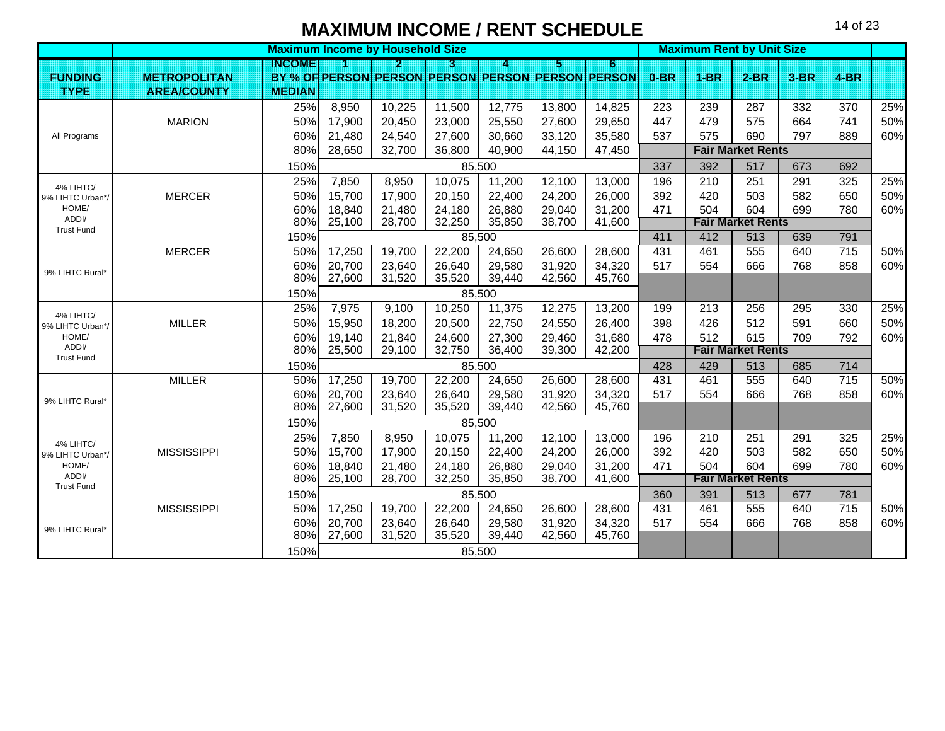|                           |                     |               | <b>Maximum Income by Household Size</b> |                  |                  |                  |                  |                                                   |            |            | <b>Maximum Rent by Unit Size</b> |            |                 |     |
|---------------------------|---------------------|---------------|-----------------------------------------|------------------|------------------|------------------|------------------|---------------------------------------------------|------------|------------|----------------------------------|------------|-----------------|-----|
|                           |                     | INGOME        |                                         | Э.               | П                |                  | 5                | Б                                                 |            |            |                                  |            |                 |     |
| <b>FUNDING</b>            | <b>METROPOLITAN</b> |               |                                         |                  |                  |                  |                  | BY % OF PERSON PERSON PERSON PERSON PERSON PERSON | $0-BR$     | $1-BR$     | $2-BR$                           | $3-BR$     | $4-BR$          |     |
| <b>TYPE</b>               | <b>AREA/COUNTY</b>  | <b>MEDIAN</b> |                                         |                  |                  |                  |                  |                                                   |            |            |                                  |            |                 |     |
|                           |                     | 25%           | 8,950                                   | 10,225           | 11,500           | 12,775           | 13,800           | 14,825                                            | 223        | 239        | 287                              | 332        | 370             | 25% |
|                           | <b>MARION</b>       | 50%           | 17,900                                  | 20,450           | 23,000           | 25,550           | 27,600           | 29,650                                            | 447        | 479        | 575                              | 664        | 741             | 50% |
| All Programs              |                     | 60%           | 21,480                                  | 24,540           | 27,600           | 30,660           | 33,120           | 35,580                                            | 537        | 575        | 690                              | 797        | 889             | 60% |
|                           |                     | 80%           | 28,650                                  | 32,700           | 36,800           | 40,900           | 44,150           | 47,450                                            |            |            | <b>Fair Market Rents</b>         |            |                 |     |
|                           |                     | 150%          |                                         |                  |                  | 85,500           |                  |                                                   | 337        | 392        | 517                              | 673        | 692             |     |
| 4% LIHTC/                 |                     | 25%           | 7,850                                   | 8,950            | 10,075           | 11,200           | 12,100           | 13,000                                            | 196        | 210        | 251                              | 291        | 325             | 25% |
| 9% LIHTC Urban*/          | <b>MERCER</b>       | 50%           | 15,700                                  | 17,900           | 20,150           | 22,400           | 24,200           | 26,000                                            | 392        | 420        | 503                              | 582        | 650             | 50% |
| HOME/<br>ADDI/            |                     | 60%           | 18,840                                  | 21,480           | 24,180           | 26,880           | 29,040           | 31,200                                            | 471        | 504        | 604                              | 699        | 780             | 60% |
| <b>Trust Fund</b>         |                     | 80%           | 25,100                                  | 28,700           | 32,250           | 35,850           | 38,700           | 41,600                                            |            |            | <b>Fair Market Rents</b>         |            |                 |     |
|                           |                     | 150%          |                                         |                  |                  | 85,500           |                  |                                                   | 411        | 412        | 513                              | 639        | 791             |     |
|                           | <b>MERCER</b>       | 50%           | 17,250                                  | 19,700           | 22,200           | 24,650           | 26,600           | 28,600                                            | 431        | 461        | 555                              | 640        | 715             | 50% |
| 9% LIHTC Rural*           |                     | 60%           | 20,700                                  | 23,640           | 26,640           | 29,580           | 31,920           | 34,320                                            | 517        | 554        | 666                              | 768        | 858             | 60% |
|                           |                     | 80%           | 27,600                                  | 31,520           | 35,520           | 39,440           | 42,560           | 45,760                                            |            |            |                                  |            |                 |     |
|                           |                     | 150%          |                                         |                  |                  | 85,500           |                  |                                                   |            |            |                                  |            |                 |     |
| 4% LIHTC/                 |                     | 25%           | 7,975                                   | 9,100            | 10,250           | 11,375           | 12,275           | 13,200                                            | 199        | 213        | 256                              | 295        | 330             | 25% |
| 9% LIHTC Urban*/          | <b>MILLER</b>       | 50%           | 15,950                                  | 18,200           | 20,500           | 22,750           | 24,550           | 26,400                                            | 398        | 426        | 512                              | 591        | 660             | 50% |
| HOME/<br>ADDI/            |                     | 60%<br>80%    | 19,140<br>25,500                        | 21,840<br>29,100 | 24,600<br>32,750 | 27,300<br>36,400 | 29,460<br>39,300 | 31,680<br>42,200                                  | 478        | 512        | 615<br><b>Fair Market Rents</b>  | 709        | 792             | 60% |
| <b>Trust Fund</b>         |                     |               |                                         |                  |                  |                  |                  |                                                   |            |            |                                  |            |                 |     |
|                           |                     | 150%          |                                         |                  |                  | 85,500           |                  |                                                   | 428<br>431 | 429<br>461 | 513<br>555                       | 685<br>640 | 714<br>715      | 50% |
|                           | <b>MILLER</b>       | 50%<br>60%    | 17,250<br>20,700                        | 19,700<br>23,640 | 22,200<br>26,640 | 24,650<br>29,580 | 26,600<br>31,920 | 28,600<br>34,320                                  | 517        | 554        | 666                              | 768        | 858             | 60% |
| 9% LIHTC Rural*           |                     | 80%           | 27,600                                  | 31,520           | 35,520           | 39,440           | 42,560           | 45,760                                            |            |            |                                  |            |                 |     |
|                           |                     | 150%          |                                         |                  |                  | 85,500           |                  |                                                   |            |            |                                  |            |                 |     |
|                           |                     | 25%           | 7,850                                   | 8,950            | 10,075           | 11,200           | 12,100           | 13,000                                            | 196        | 210        | 251                              | 291        | 325             | 25% |
| 4% LIHTC/                 | <b>MISSISSIPPI</b>  | 50%           | 15,700                                  | 17,900           | 20,150           | 22,400           | 24,200           | 26,000                                            | 392        | 420        | 503                              | 582        | 650             | 50% |
| 9% LIHTC Urban*/<br>HOME/ |                     | 60%           | 18,840                                  | 21,480           | 24,180           | 26,880           | 29,040           | 31,200                                            | 471        | 504        | 604                              | 699        | 780             | 60% |
| ADDI/                     |                     | 80%           | 25,100                                  | 28,700           | 32,250           | 35,850           | 38,700           | 41,600                                            |            |            | <b>Fair Market Rents</b>         |            |                 |     |
| <b>Trust Fund</b>         |                     | 150%          |                                         |                  |                  | 85,500           |                  |                                                   | 360        | 391        | 513                              | 677        | 781             |     |
|                           | <b>MISSISSIPPI</b>  | 50%           | 17,250                                  | 19,700           | 22,200           | 24,650           | 26,600           | 28,600                                            | 431        | 461        | 555                              | 640        | $\frac{1}{715}$ | 50% |
|                           |                     | 60%           | 20,700                                  | 23,640           | 26,640           | 29,580           | 31,920           | 34,320                                            | 517        | 554        | 666                              | 768        | 858             | 60% |
| 9% LIHTC Rural*           |                     | 80%           | 27,600                                  | 31,520           | 35,520           | 39,440           | 42,560           | 45,760                                            |            |            |                                  |            |                 |     |
|                           |                     | 150%          |                                         |                  |                  | 85,500           |                  |                                                   |            |            |                                  |            |                 |     |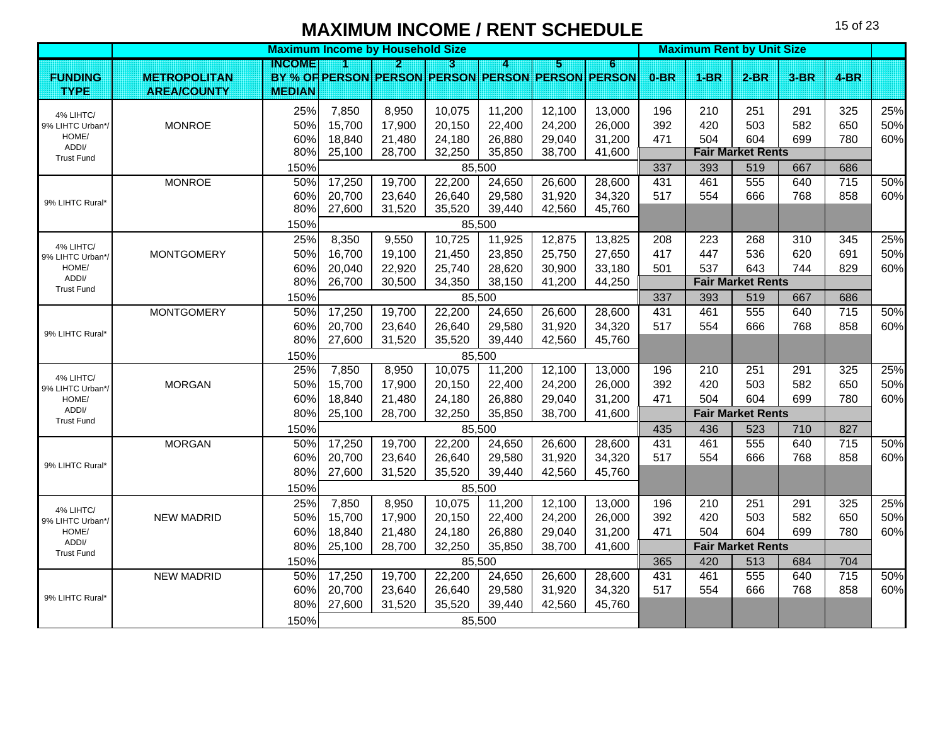|                               |                     |               | <b>Maximum Income by Household Size</b> |                                                   |        |        |        |          |        | <b>Maximum Rent by Unit Size</b> |                          |        |                 |     |
|-------------------------------|---------------------|---------------|-----------------------------------------|---------------------------------------------------|--------|--------|--------|----------|--------|----------------------------------|--------------------------|--------|-----------------|-----|
|                               |                     | INGOME        |                                         | P.                                                | R      | 4      | Ы      | $\bf{6}$ |        |                                  |                          |        |                 |     |
| <b>FUNDING</b>                | <b>METROPOLITAN</b> |               |                                         | BY % OF PERSON PERSON PERSON PERSON PERSON PERSON |        |        |        |          | $0-BR$ | $1-BR$                           | $2-BR$                   | $3-BR$ | $4-BR$          |     |
| <b>TYPE</b>                   | <b>AREA/COUNTY</b>  | <b>MEDIAN</b> |                                         |                                                   |        |        |        |          |        |                                  |                          |        |                 |     |
| 4% LIHTC/                     |                     | 25%           | 7,850                                   | 8,950                                             | 10,075 | 11,200 | 12,100 | 13,000   | 196    | 210                              | 251                      | 291    | 325             | 25% |
| 9% LIHTC Urban*/              | <b>MONROE</b>       | 50%           | 15,700                                  | 17,900                                            | 20,150 | 22,400 | 24,200 | 26,000   | 392    | 420                              | 503                      | 582    | 650             | 50% |
| HOME/<br>ADDI/                |                     | 60%           | 18,840                                  | 21,480                                            | 24,180 | 26,880 | 29,040 | 31,200   | 471    | 504                              | 604                      | 699    | 780             | 60% |
| <b>Trust Fund</b>             |                     | 80%           | 25,100                                  | 28,700                                            | 32,250 | 35,850 | 38,700 | 41,600   |        |                                  | <b>Fair Market Rents</b> |        |                 |     |
|                               |                     | 150%          |                                         |                                                   |        | 85,500 |        |          | 337    | 393                              | 519                      | 667    | 686             |     |
|                               | <b>MONROE</b>       | 50%           | 17,250                                  | 19,700                                            | 22,200 | 24,650 | 26,600 | 28,600   | 431    | 461                              | 555                      | 640    | 715             | 50% |
| 9% LIHTC Rural*               |                     | 60%           | 20,700                                  | 23,640                                            | 26,640 | 29,580 | 31,920 | 34,320   | 517    | 554                              | 666                      | 768    | 858             | 60% |
|                               |                     | 80%           | 27,600                                  | 31,520                                            | 35,520 | 39,440 | 42,560 | 45,760   |        |                                  |                          |        |                 |     |
|                               |                     | 150%          |                                         |                                                   |        | 85,500 |        |          |        |                                  |                          |        |                 |     |
| 4% LIHTC/                     |                     | 25%           | 8,350                                   | 9,550                                             | 10,725 | 11,925 | 12,875 | 13,825   | 208    | 223                              | 268                      | 310    | 345             | 25% |
| 9% LIHTC Urban*/              | <b>MONTGOMERY</b>   | 50%           | 16,700                                  | 19,100                                            | 21,450 | 23,850 | 25,750 | 27,650   | 417    | 447                              | 536                      | 620    | 691             | 50% |
| HOME/                         |                     | 60%           | 20,040                                  | 22,920                                            | 25,740 | 28,620 | 30,900 | 33,180   | 501    | 537                              | 643                      | 744    | 829             | 60% |
| ADDI/<br><b>Trust Fund</b>    |                     | 80%           | 26,700                                  | 30,500                                            | 34,350 | 38,150 | 41,200 | 44,250   |        |                                  | <b>Fair Market Rents</b> |        |                 |     |
|                               |                     | 150%          |                                         |                                                   |        | 85,500 |        |          | 337    | 393                              | 519                      | 667    | 686             |     |
|                               | <b>MONTGOMERY</b>   | 50%           | 17,250                                  | 19,700                                            | 22,200 | 24,650 | 26,600 | 28,600   | 431    | 461                              | 555                      | 640    | $\frac{1}{715}$ | 50% |
| 9% LIHTC Rural*               |                     | 60%           | 20,700                                  | 23,640                                            | 26,640 | 29,580 | 31,920 | 34,320   | 517    | 554                              | 666                      | 768    | 858             | 60% |
|                               |                     | 80%           | 27,600                                  | 31,520                                            | 35,520 | 39,440 | 42,560 | 45,760   |        |                                  |                          |        |                 |     |
|                               |                     | 150%          |                                         |                                                   |        | 85,500 |        |          |        |                                  |                          |        |                 |     |
| 4% LIHTC/                     |                     | 25%           | 7,850                                   | 8,950                                             | 10,075 | 11,200 | 12,100 | 13,000   | 196    | 210                              | 251                      | 291    | 325             | 25% |
| 9% LIHTC Urban*/              | <b>MORGAN</b>       | 50%           | 15,700                                  | 17,900                                            | 20,150 | 22,400 | 24,200 | 26,000   | 392    | 420                              | 503                      | 582    | 650             | 50% |
| HOME/                         |                     | 60%           | 18,840                                  | 21,480                                            | 24,180 | 26,880 | 29,040 | 31,200   | 471    | 504                              | 604                      | 699    | 780             | 60% |
| ADDI/<br><b>Trust Fund</b>    |                     | 80%           | 25,100                                  | 28,700                                            | 32,250 | 35,850 | 38,700 | 41,600   |        |                                  | <b>Fair Market Rents</b> |        |                 |     |
|                               |                     | 150%          |                                         |                                                   |        | 85,500 |        |          | 435    | 436                              | 523                      | 710    | 827             |     |
|                               | <b>MORGAN</b>       | 50%           | 17,250                                  | 19,700                                            | 22,200 | 24,650 | 26,600 | 28,600   | 431    | 461                              | 555                      | 640    | $\frac{1}{715}$ | 50% |
|                               |                     | 60%           | 20,700                                  | 23,640                                            | 26,640 | 29,580 | 31,920 | 34,320   | 517    | 554                              | 666                      | 768    | 858             | 60% |
| 9% LIHTC Rural*               |                     | 80%           | 27,600                                  | 31,520                                            | 35,520 | 39,440 | 42,560 | 45,760   |        |                                  |                          |        |                 |     |
|                               |                     | 150%          |                                         |                                                   |        | 85,500 |        |          |        |                                  |                          |        |                 |     |
|                               |                     | 25%           | 7,850                                   | 8,950                                             | 10,075 | 11,200 | 12,100 | 13,000   | 196    | 210                              | 251                      | 291    | 325             | 25% |
| 4% LIHTC/<br>9% LIHTC Urban*/ | <b>NEW MADRID</b>   | 50%           | 15,700                                  | 17,900                                            | 20,150 | 22,400 | 24,200 | 26,000   | 392    | 420                              | 503                      | 582    | 650             | 50% |
| HOME/                         |                     | 60%           | 18,840                                  | 21,480                                            | 24,180 | 26,880 | 29,040 | 31,200   | 471    | 504                              | 604                      | 699    | 780             | 60% |
| ADDI/                         |                     | 80%           | 25,100                                  | 28,700                                            | 32,250 | 35,850 | 38,700 | 41,600   |        |                                  | <b>Fair Market Rents</b> |        |                 |     |
| <b>Trust Fund</b>             |                     | 150%          |                                         |                                                   |        | 85,500 |        |          | 365    | 420                              | 513                      | 684    | 704             |     |
|                               | <b>NEW MADRID</b>   | 50%           | 17,250                                  | 19,700                                            | 22,200 | 24,650 | 26,600 | 28,600   | 431    | 461                              | 555                      | 640    | 715             | 50% |
|                               |                     | 60%           | 20,700                                  | 23,640                                            | 26,640 | 29,580 | 31,920 | 34,320   | 517    | 554                              | 666                      | 768    | 858             | 60% |
| 9% LIHTC Rural*               |                     | 80%           | 27,600                                  | 31,520                                            | 35,520 | 39,440 | 42,560 | 45,760   |        |                                  |                          |        |                 |     |
|                               |                     | 150%          |                                         |                                                   |        | 85,500 |        |          |        |                                  |                          |        |                 |     |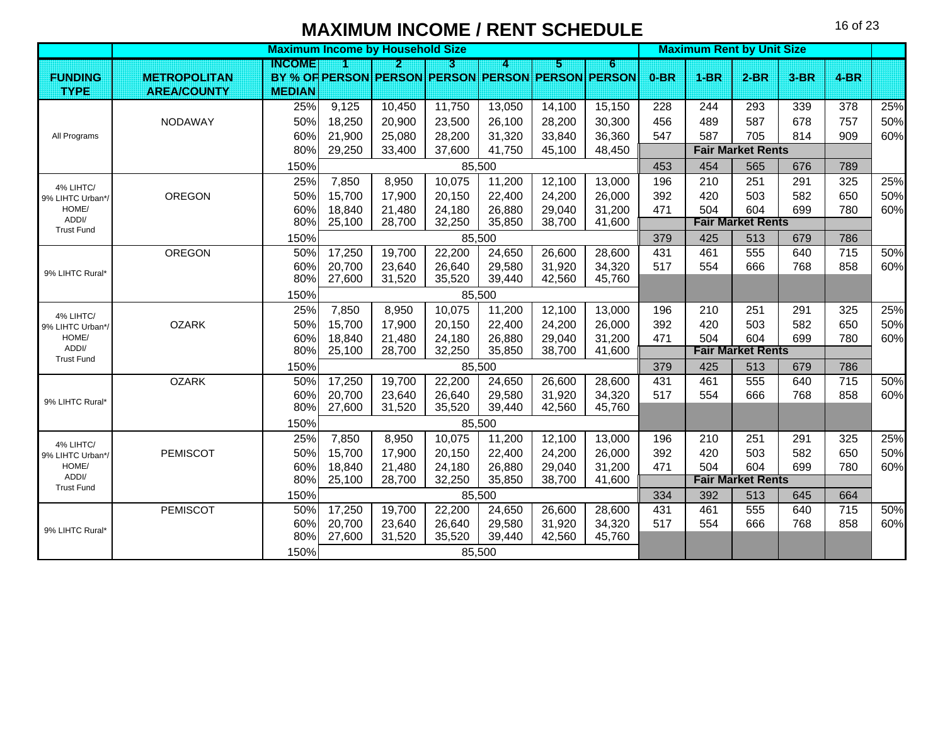|                               |                     | <b>Maximum Income by Household Size</b> |        |        |        |        |        |                                                   |        |             | <b>Maximum Rent by Unit Size</b> |        |                 |     |
|-------------------------------|---------------------|-----------------------------------------|--------|--------|--------|--------|--------|---------------------------------------------------|--------|-------------|----------------------------------|--------|-----------------|-----|
|                               |                     | INGOME                                  |        | 2      | П      | Δ      | 5      | 6                                                 |        |             |                                  |        |                 |     |
| <b>FUNDING</b>                | <b>METROPOLITAN</b> |                                         |        |        |        |        |        | BY % OF PERSON PERSON PERSON PERSON PERSON PERSON | $0-BR$ | <b>1-BR</b> | $2-BR$                           | $3-BR$ | $4-BR$          |     |
| <b>TYPE</b>                   | <b>AREA/COUNTY</b>  | <b>MEDIAN</b>                           |        |        |        |        |        |                                                   |        |             |                                  |        |                 |     |
|                               |                     | 25%                                     | 9,125  | 10,450 | 11,750 | 13,050 | 14,100 | 15,150                                            | 228    | 244         | 293                              | 339    | 378             | 25% |
|                               | <b>NODAWAY</b>      | 50%                                     | 18,250 | 20,900 | 23,500 | 26,100 | 28,200 | 30,300                                            | 456    | 489         | 587                              | 678    | 757             | 50% |
| All Programs                  |                     | 60%                                     | 21,900 | 25,080 | 28,200 | 31,320 | 33,840 | 36,360                                            | 547    | 587         | 705                              | 814    | 909             | 60% |
|                               |                     | 80%                                     | 29,250 | 33,400 | 37,600 | 41,750 | 45,100 | 48,450                                            |        |             | <b>Fair Market Rents</b>         |        |                 |     |
|                               |                     | 150%                                    |        |        |        | 85,500 |        |                                                   | 453    | 454         | 565                              | 676    | 789             |     |
|                               |                     | 25%                                     | 7,850  | 8,950  | 10,075 | 11,200 | 12,100 | 13,000                                            | 196    | 210         | 251                              | 291    | 325             | 25% |
| 4% LIHTC/<br>9% LIHTC Urban*/ | <b>OREGON</b>       | 50%                                     | 15,700 | 17,900 | 20,150 | 22,400 | 24,200 | 26,000                                            | 392    | 420         | 503                              | 582    | 650             | 50% |
| HOME/                         |                     | 60%                                     | 18,840 | 21,480 | 24,180 | 26,880 | 29,040 | 31,200                                            | 471    | 504         | 604                              | 699    | 780             | 60% |
| ADDI/<br><b>Trust Fund</b>    |                     | 80%                                     | 25,100 | 28,700 | 32,250 | 35,850 | 38,700 | 41,600                                            |        |             | <b>Fair Market Rents</b>         |        |                 |     |
|                               |                     | 150%                                    |        |        |        | 85,500 |        |                                                   | 379    | 425         | 513                              | 679    | 786             |     |
|                               | OREGON              | 50%                                     | 17,250 | 19,700 | 22,200 | 24,650 | 26,600 | 28,600                                            | 431    | 461         | 555                              | 640    | $\frac{1}{715}$ | 50% |
| 9% LIHTC Rural*               |                     | 60%                                     | 20,700 | 23,640 | 26,640 | 29,580 | 31,920 | 34,320                                            | 517    | 554         | 666                              | 768    | 858             | 60% |
|                               |                     | 80%                                     | 27,600 | 31,520 | 35,520 | 39,440 | 42,560 | 45,760                                            |        |             |                                  |        |                 |     |
|                               |                     | 150%                                    |        |        |        | 85,500 |        |                                                   |        |             |                                  |        |                 |     |
| 4% LIHTC/                     |                     | 25%                                     | 7,850  | 8,950  | 10,075 | 11,200 | 12,100 | 13,000                                            | 196    | 210         | 251                              | 291    | 325             | 25% |
| 9% LIHTC Urban*/              | <b>OZARK</b>        | 50%                                     | 15,700 | 17,900 | 20,150 | 22,400 | 24,200 | 26,000                                            | 392    | 420         | 503                              | 582    | 650             | 50% |
| HOME/                         |                     | 60%                                     | 18,840 | 21,480 | 24,180 | 26,880 | 29,040 | 31,200                                            | 471    | 504         | 604                              | 699    | 780             | 60% |
| ADDI/<br><b>Trust Fund</b>    |                     | 80%                                     | 25,100 | 28,700 | 32,250 | 35,850 | 38,700 | 41,600                                            |        |             | <b>Fair Market Rents</b>         |        |                 |     |
|                               |                     | 150%                                    |        |        |        | 85,500 |        |                                                   | 379    | 425         | 513                              | 679    | 786             |     |
|                               | <b>OZARK</b>        | 50%                                     | 17,250 | 19,700 | 22,200 | 24,650 | 26,600 | 28,600                                            | 431    | 461         | 555                              | 640    | 715             | 50% |
| 9% LIHTC Rural*               |                     | 60%                                     | 20,700 | 23,640 | 26,640 | 29,580 | 31,920 | 34,320                                            | 517    | 554         | 666                              | 768    | 858             | 60% |
|                               |                     | 80%                                     | 27,600 | 31,520 | 35,520 | 39,440 | 42,560 | 45,760                                            |        |             |                                  |        |                 |     |
|                               |                     | 150%                                    |        |        |        | 85,500 |        |                                                   |        |             |                                  |        |                 |     |
| 4% LIHTC/                     |                     | 25%                                     | 7,850  | 8,950  | 10,075 | 11,200 | 12,100 | 13,000                                            | 196    | 210         | 251                              | 291    | 325             | 25% |
| 9% LIHTC Urban*/              | <b>PEMISCOT</b>     | 50%                                     | 15,700 | 17,900 | 20,150 | 22,400 | 24,200 | 26,000                                            | 392    | 420         | 503                              | 582    | 650             | 50% |
| HOME/<br>ADDI/                |                     | 60%                                     | 18,840 | 21,480 | 24,180 | 26,880 | 29,040 | 31,200                                            | 471    | 504         | 604                              | 699    | 780             | 60% |
| <b>Trust Fund</b>             |                     | 80%                                     | 25,100 | 28,700 | 32,250 | 35,850 | 38,700 | 41,600                                            |        |             | <b>Fair Market Rents</b>         |        |                 |     |
|                               |                     | 150%                                    |        |        |        | 85,500 |        |                                                   | 334    | 392         | 513                              | 645    | 664             |     |
|                               | <b>PEMISCOT</b>     | 50%                                     | 17,250 | 19,700 | 22,200 | 24,650 | 26,600 | 28,600                                            | 431    | 461         | 555                              | 640    | $\frac{1}{715}$ | 50% |
| 9% LIHTC Rural*               |                     | 60%                                     | 20,700 | 23,640 | 26,640 | 29,580 | 31,920 | 34,320                                            | 517    | 554         | 666                              | 768    | 858             | 60% |
|                               |                     | 80%                                     | 27,600 | 31,520 | 35,520 | 39,440 | 42,560 | 45,760                                            |        |             |                                  |        |                 |     |
|                               |                     | 150%                                    |        |        |        | 85,500 |        |                                                   |        |             |                                  |        |                 |     |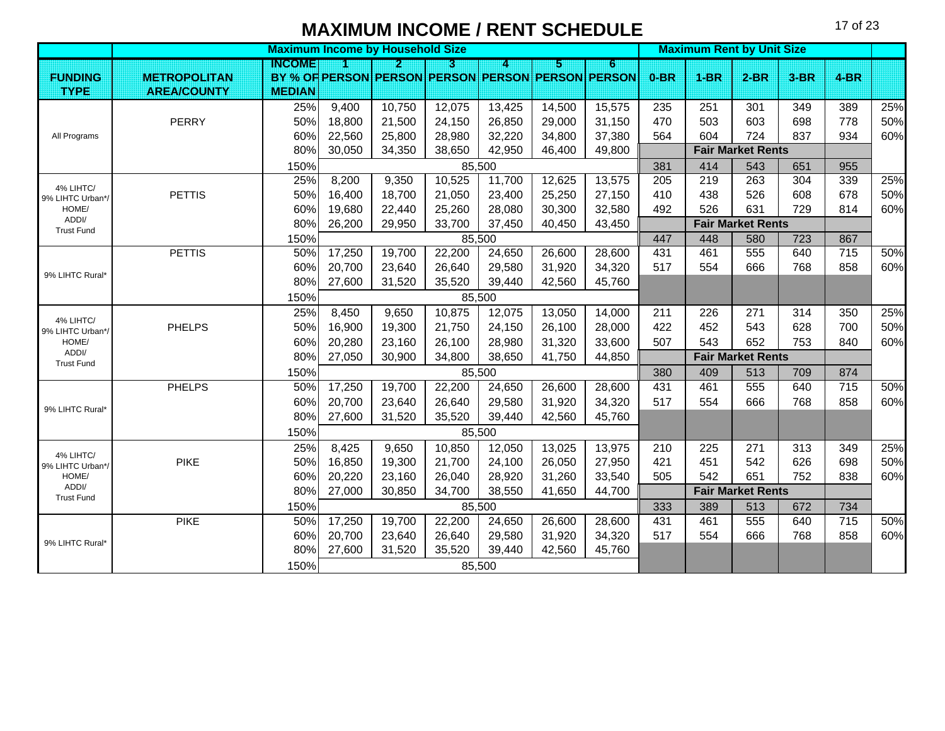|                               |                     | <b>Maximum Income by Household Size</b> |        |        |        |        |        |                                                   |        |        | <b>Maximum Rent by Unit Size</b> |        |                 |     |
|-------------------------------|---------------------|-----------------------------------------|--------|--------|--------|--------|--------|---------------------------------------------------|--------|--------|----------------------------------|--------|-----------------|-----|
|                               |                     | INGOME                                  | И      | И      | KI     | Δ      | 51     | 6                                                 |        |        |                                  |        |                 |     |
| <b>FUNDING</b>                | <b>METROPOLITAN</b> |                                         |        |        |        |        |        | BY % OF PERSON PERSON PERSON PERSON PERSON PERSON | $0-BR$ | $1-BR$ | $2-BR$                           | $3-BR$ | $4-BR$          |     |
| <b>TYPE</b>                   | <b>AREA/COUNTY</b>  | <b>MEDIAN</b>                           |        |        |        |        |        |                                                   |        |        |                                  |        |                 |     |
|                               |                     | 25%                                     | 9,400  | 10,750 | 12,075 | 13,425 | 14,500 | 15,575                                            | 235    | 251    | 301                              | 349    | 389             | 25% |
|                               | <b>PERRY</b>        | 50%                                     | 18,800 | 21,500 | 24,150 | 26,850 | 29,000 | 31,150                                            | 470    | 503    | 603                              | 698    | 778             | 50% |
| All Programs                  |                     | 60%                                     | 22,560 | 25,800 | 28,980 | 32,220 | 34,800 | 37,380                                            | 564    | 604    | 724                              | 837    | 934             | 60% |
|                               |                     | 80%                                     | 30,050 | 34,350 | 38,650 | 42,950 | 46,400 | 49,800                                            |        |        | <b>Fair Market Rents</b>         |        |                 |     |
|                               |                     | 150%                                    |        |        |        | 85,500 |        |                                                   | 381    | 414    | 543                              | 651    | 955             |     |
| 4% LIHTC/                     |                     | 25%                                     | 8,200  | 9,350  | 10,525 | 11,700 | 12,625 | 13,575                                            | 205    | 219    | 263                              | 304    | 339             | 25% |
| 9% LIHTC Urban*/              | <b>PETTIS</b>       | 50%                                     | 16,400 | 18,700 | 21,050 | 23,400 | 25,250 | 27,150                                            | 410    | 438    | 526                              | 608    | 678             | 50% |
| HOME/                         |                     | 60%                                     | 19,680 | 22,440 | 25,260 | 28,080 | 30,300 | 32,580                                            | 492    | 526    | 631                              | 729    | 814             | 60% |
| ADDI/<br><b>Trust Fund</b>    |                     | 80%                                     | 26,200 | 29,950 | 33,700 | 37,450 | 40,450 | 43,450                                            |        |        | <b>Fair Market Rents</b>         |        |                 |     |
|                               |                     | 150%                                    |        |        |        | 85,500 |        |                                                   | 447    | 448    | 580                              | 723    | 867             |     |
|                               | <b>PETTIS</b>       | 50%                                     | 17,250 | 19,700 | 22,200 | 24,650 | 26,600 | 28,600                                            | 431    | 461    | 555                              | 640    | $\frac{1}{715}$ | 50% |
| 9% LIHTC Rural*               |                     | 60%                                     | 20,700 | 23,640 | 26,640 | 29,580 | 31,920 | 34,320                                            | 517    | 554    | 666                              | 768    | 858             | 60% |
|                               |                     | 80%                                     | 27,600 | 31,520 | 35,520 | 39,440 | 42,560 | 45,760                                            |        |        |                                  |        |                 |     |
|                               |                     | 150%                                    |        |        |        | 85,500 |        |                                                   |        |        |                                  |        |                 |     |
| 4% LIHTC/                     |                     | 25%                                     | 8,450  | 9,650  | 10,875 | 12,075 | 13,050 | 14,000                                            | 211    | 226    | 271                              | 314    | 350             | 25% |
| 9% LIHTC Urban*/              | <b>PHELPS</b>       | 50%                                     | 16,900 | 19,300 | 21,750 | 24,150 | 26,100 | 28,000                                            | 422    | 452    | 543                              | 628    | 700             | 50% |
| HOME/                         |                     | 60%                                     | 20,280 | 23,160 | 26,100 | 28,980 | 31,320 | 33,600                                            | 507    | 543    | 652                              | 753    | 840             | 60% |
| ADDI/<br><b>Trust Fund</b>    |                     | 80%                                     | 27,050 | 30,900 | 34,800 | 38,650 | 41,750 | 44,850                                            |        |        | <b>Fair Market Rents</b>         |        |                 |     |
|                               |                     | 150%                                    |        |        |        | 85,500 |        |                                                   | 380    | 409    | 513                              | 709    | 874             |     |
|                               | <b>PHELPS</b>       | 50%                                     | 17,250 | 19,700 | 22,200 | 24,650 | 26,600 | 28,600                                            | 431    | 461    | 555                              | 640    | $\frac{1}{715}$ | 50% |
| 9% LIHTC Rural*               |                     | 60%                                     | 20,700 | 23,640 | 26,640 | 29,580 | 31,920 | 34,320                                            | 517    | 554    | 666                              | 768    | 858             | 60% |
|                               |                     | 80%                                     | 27,600 | 31,520 | 35,520 | 39,440 | 42,560 | 45,760                                            |        |        |                                  |        |                 |     |
|                               |                     | 150%                                    |        |        |        | 85,500 |        |                                                   |        |        |                                  |        |                 |     |
|                               |                     | 25%                                     | 8,425  | 9,650  | 10,850 | 12,050 | 13,025 | 13,975                                            | 210    | 225    | 271                              | 313    | 349             | 25% |
| 4% LIHTC/<br>9% LIHTC Urban*/ | <b>PIKE</b>         | 50%                                     | 16,850 | 19,300 | 21,700 | 24,100 | 26,050 | 27,950                                            | 421    | 451    | 542                              | 626    | 698             | 50% |
| HOME/                         |                     | 60%                                     | 20,220 | 23,160 | 26,040 | 28,920 | 31,260 | 33,540                                            | 505    | 542    | 651                              | 752    | 838             | 60% |
| ADDI/<br><b>Trust Fund</b>    |                     | 80%                                     | 27,000 | 30,850 | 34,700 | 38,550 | 41,650 | 44,700                                            |        |        | <b>Fair Market Rents</b>         |        |                 |     |
|                               |                     | 150%                                    |        |        |        | 85,500 |        |                                                   | 333    | 389    | 513                              | 672    | 734             |     |
|                               | <b>PIKE</b>         | 50%                                     | 17,250 | 19,700 | 22,200 | 24,650 | 26,600 | 28,600                                            | 431    | 461    | 555                              | 640    | 715             | 50% |
|                               |                     | 60%                                     | 20,700 | 23,640 | 26,640 | 29,580 | 31,920 | 34,320                                            | 517    | 554    | 666                              | 768    | 858             | 60% |
| 9% LIHTC Rural*               |                     | 80%                                     | 27,600 | 31,520 | 35,520 | 39,440 | 42,560 | 45,760                                            |        |        |                                  |        |                 |     |
|                               |                     | 150%                                    |        |        |        | 85,500 |        |                                                   |        |        |                                  |        |                 |     |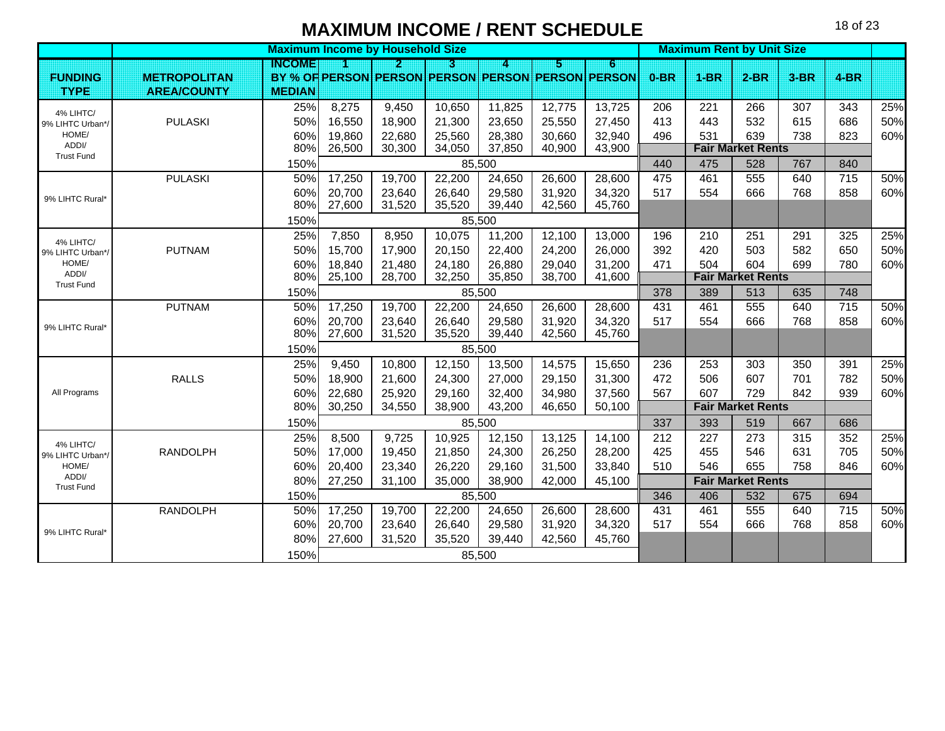|                            |                     |               | <b>Maximum Income by Household Size</b> |        |        |        |        |                                                   |        | <b>Maximum Rent by Unit Size</b> |                          |        |                 |     |
|----------------------------|---------------------|---------------|-----------------------------------------|--------|--------|--------|--------|---------------------------------------------------|--------|----------------------------------|--------------------------|--------|-----------------|-----|
|                            |                     | INGOME        |                                         | 2      | П      | 4      | 5      | 6                                                 |        |                                  |                          |        |                 |     |
| <b>FUNDING</b>             | <b>METROPOLITAN</b> |               |                                         |        |        |        |        | BY % OF PERSON PERSON PERSON PERSON PERSON PERSON | $0-BR$ | $1-BR$                           | $2-BR$                   | $3-BR$ | $4-BR$          |     |
| <b>TYPE</b>                | <b>AREA/COUNTY</b>  | <b>MEDIAN</b> |                                         |        |        |        |        |                                                   |        |                                  |                          |        |                 |     |
| 4% LIHTC/                  |                     | 25%           | 8,275                                   | 9,450  | 10,650 | 11,825 | 12,775 | 13,725                                            | 206    | 221                              | 266                      | 307    | 343             | 25% |
| 9% LIHTC Urban*/           | <b>PULASKI</b>      | 50%           | 16,550                                  | 18,900 | 21,300 | 23,650 | 25,550 | 27,450                                            | 413    | 443                              | 532                      | 615    | 686             | 50% |
| HOME/                      |                     | 60%           | 19,860                                  | 22,680 | 25,560 | 28,380 | 30,660 | 32,940                                            | 496    | 531                              | 639                      | 738    | 823             | 60% |
| ADDI/<br><b>Trust Fund</b> |                     | 80%           | 26,500                                  | 30,300 | 34,050 | 37,850 | 40,900 | 43,900                                            |        |                                  | <b>Fair Market Rents</b> |        |                 |     |
|                            |                     | 150%          |                                         |        |        | 85,500 |        |                                                   | 440    | 475                              | 528                      | 767    | 840             |     |
|                            | <b>PULASKI</b>      | 50%           | 17,250                                  | 19,700 | 22,200 | 24,650 | 26,600 | 28,600                                            | 475    | 461                              | 555                      | 640    | $\frac{1}{715}$ | 50% |
| 9% LIHTC Rural*            |                     | 60%           | 20,700                                  | 23,640 | 26,640 | 29,580 | 31,920 | 34,320                                            | 517    | 554                              | 666                      | 768    | 858             | 60% |
|                            |                     | 80%           | 27,600                                  | 31,520 | 35,520 | 39,440 | 42,560 | 45,760                                            |        |                                  |                          |        |                 |     |
|                            |                     | 150%          |                                         |        |        | 85,500 |        |                                                   |        |                                  |                          |        |                 |     |
| 4% LIHTC/                  |                     | 25%           | 7,850                                   | 8,950  | 10,075 | 11,200 | 12,100 | 13,000                                            | 196    | 210                              | 251                      | 291    | 325             | 25% |
| 9% LIHTC Urban*/           | <b>PUTNAM</b>       | 50%           | 15,700                                  | 17,900 | 20,150 | 22,400 | 24,200 | 26,000                                            | 392    | 420                              | 503                      | 582    | 650             | 50% |
| HOME/                      |                     | 60%           | 18,840                                  | 21,480 | 24,180 | 26,880 | 29,040 | 31,200                                            | 471    | 504                              | 604                      | 699    | 780             | 60% |
| ADDI/<br><b>Trust Fund</b> |                     | 80%           | 25,100                                  | 28,700 | 32,250 | 35,850 | 38,700 | 41,600                                            |        |                                  | <b>Fair Market Rents</b> |        |                 |     |
|                            |                     | 150%          |                                         |        |        | 85,500 |        |                                                   | 378    | 389                              | 513                      | 635    | 748             |     |
|                            | <b>PUTNAM</b>       | 50%           | 17,250                                  | 19,700 | 22,200 | 24,650 | 26,600 | 28,600                                            | 431    | 461                              | 555                      | 640    | 715             | 50% |
| 9% LIHTC Rural*            |                     | 60%           | 20,700                                  | 23,640 | 26,640 | 29,580 | 31,920 | 34,320                                            | 517    | 554                              | 666                      | 768    | 858             | 60% |
|                            |                     | 80%           | 27,600                                  | 31,520 | 35,520 | 39,440 | 42,560 | 45,760                                            |        |                                  |                          |        |                 |     |
|                            |                     | 150%          |                                         |        |        | 85,500 |        |                                                   |        |                                  |                          |        |                 |     |
|                            |                     | 25%           | 9,450                                   | 10,800 | 12,150 | 13,500 | 14,575 | 15,650                                            | 236    | 253                              | 303                      | 350    | 391             | 25% |
|                            | <b>RALLS</b>        | 50%           | 18,900                                  | 21,600 | 24,300 | 27,000 | 29,150 | 31,300                                            | 472    | 506                              | 607                      | 701    | 782             | 50% |
| All Programs               |                     | 60%           | 22,680                                  | 25,920 | 29,160 | 32,400 | 34,980 | 37,560                                            | 567    | 607                              | 729                      | 842    | 939             | 60% |
|                            |                     | 80%           | 30,250                                  | 34,550 | 38,900 | 43,200 | 46,650 | 50,100                                            |        |                                  | <b>Fair Market Rents</b> |        |                 |     |
|                            |                     | 150%          |                                         |        |        | 85,500 |        |                                                   | 337    | 393                              | 519                      | 667    | 686             |     |
| 4% LIHTC/                  |                     | 25%           | 8,500                                   | 9,725  | 10,925 | 12,150 | 13,125 | 14,100                                            | 212    | 227                              | 273                      | 315    | 352             | 25% |
| 9% LIHTC Urban*/           | <b>RANDOLPH</b>     | 50%           | 17,000                                  | 19,450 | 21,850 | 24,300 | 26,250 | 28,200                                            | 425    | 455                              | 546                      | 631    | 705             | 50% |
| HOME/                      |                     | 60%           | 20,400                                  | 23,340 | 26,220 | 29,160 | 31,500 | 33,840                                            | 510    | 546                              | 655                      | 758    | 846             | 60% |
| ADDI/<br><b>Trust Fund</b> |                     | 80%           | 27,250                                  | 31,100 | 35,000 | 38,900 | 42,000 | 45,100                                            |        |                                  | <b>Fair Market Rents</b> |        |                 |     |
|                            |                     | 150%          |                                         |        |        | 85,500 |        |                                                   | 346    | 406                              | 532                      | 675    | 694             |     |
|                            | <b>RANDOLPH</b>     | 50%           | 17,250                                  | 19,700 | 22,200 | 24,650 | 26,600 | 28,600                                            | 431    | 461                              | 555                      | 640    | 715             | 50% |
|                            |                     | 60%           | 20,700                                  | 23,640 | 26,640 | 29,580 | 31,920 | 34,320                                            | 517    | 554                              | 666                      | 768    | 858             | 60% |
| 9% LIHTC Rural*            |                     | 80%           | 27,600                                  | 31,520 | 35,520 | 39,440 | 42,560 | 45,760                                            |        |                                  |                          |        |                 |     |
|                            |                     | 150%          |                                         |        |        | 85,500 |        |                                                   |        |                                  |                          |        |                 |     |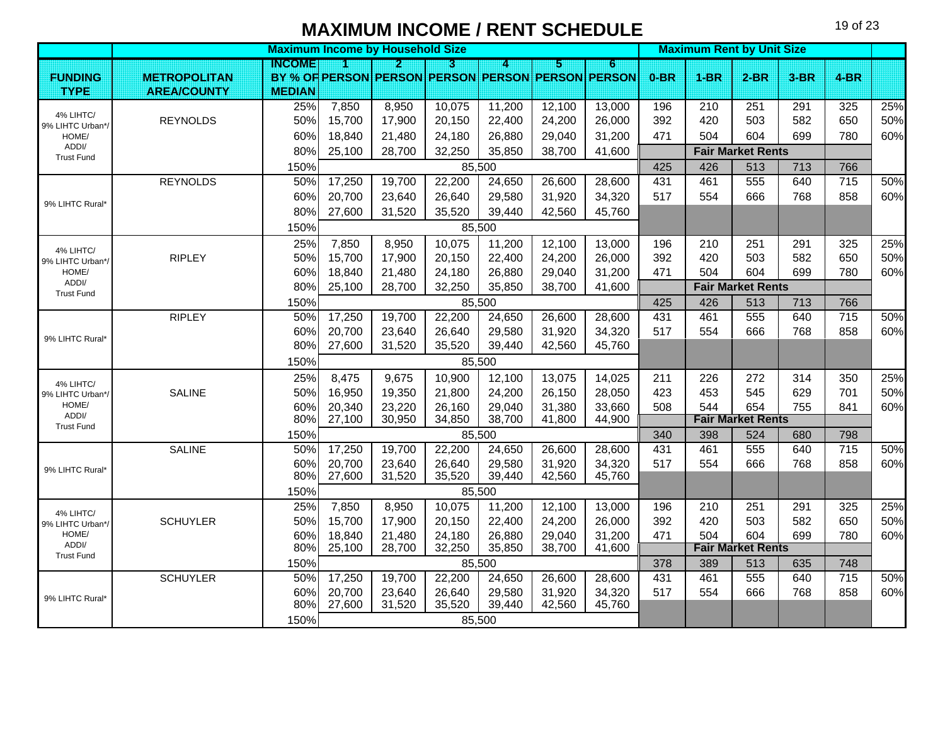|                               |                     |               |                  | <b>Maximum Income by Household Size</b> |                  |                  |                  |                                                        |            | <b>Maximum Rent by Unit Size</b> |                          |            |                        |     |
|-------------------------------|---------------------|---------------|------------------|-----------------------------------------|------------------|------------------|------------------|--------------------------------------------------------|------------|----------------------------------|--------------------------|------------|------------------------|-----|
| <b>FUNDING</b>                | <b>METROPOLITAN</b> | <b>INGOME</b> | n                | $\mathbf{p}$                            | 3                | 4                | 151              | G<br>BY % OF PERSON PERSON PERSON PERSON PERSON PERSON | $0-BR$     | $1-BR$                           | $2-BR$                   | $3-BR$     | $4-BR$                 |     |
| <b>TYPE</b>                   | <b>AREA/COUNTY</b>  | <b>MEDIAN</b> |                  |                                         |                  |                  |                  |                                                        |            |                                  |                          |            |                        |     |
|                               |                     | 25%           | 7,850            | 8,950                                   | 10,075           | 11,200           | 12,100           | 13,000                                                 | 196        | 210                              | 251                      | 291        | 325                    | 25% |
| 4% LIHTC/<br>9% LIHTC Urban*/ | <b>REYNOLDS</b>     | 50%           | 15,700           | 17,900                                  | 20,150           | 22,400           | 24,200           | 26,000                                                 | 392        | 420                              | 503                      | 582        | 650                    | 50% |
| HOME/                         |                     | 60%           | 18,840           | 21,480                                  | 24,180           | 26,880           | 29,040           | 31,200                                                 | 471        | 504                              | 604                      | 699        | 780                    | 60% |
| ADDI/<br><b>Trust Fund</b>    |                     | 80%           | 25,100           | 28,700                                  | 32,250           | 35,850           | 38,700           | 41,600                                                 |            |                                  | <b>Fair Market Rents</b> |            |                        |     |
|                               |                     | 150%          |                  |                                         |                  | 85,500           |                  |                                                        | 425        | 426                              | 513                      | 713        | 766                    |     |
|                               | <b>REYNOLDS</b>     | 50%           | 17,250           | 19,700                                  | 22,200           | 24,650           | 26,600           | 28,600                                                 | 431        | 461                              | 555                      | 640        | $\frac{1}{715}$        | 50% |
| 9% LIHTC Rural*               |                     | 60%           | 20,700           | 23,640                                  | 26,640           | 29,580           | 31,920           | 34,320                                                 | 517        | 554                              | 666                      | 768        | 858                    | 60% |
|                               |                     | 80%           | 27,600           | 31,520                                  | 35,520           | 39,440           | 42,560           | 45,760                                                 |            |                                  |                          |            |                        |     |
|                               |                     | 150%          |                  |                                         |                  | 85,500           |                  |                                                        |            |                                  |                          |            |                        |     |
| 4% LIHTC/                     |                     | 25%           | 7,850            | 8,950                                   | 10,075           | 11,200           | 12,100           | 13,000                                                 | 196        | 210                              | 251                      | 291        | 325                    | 25% |
| 9% LIHTC Urban*/              | <b>RIPLEY</b>       | 50%           | 15,700           | 17,900                                  | 20,150           | 22,400           | 24,200           | 26,000                                                 | 392        | 420                              | 503                      | 582        | 650                    | 50% |
| HOME/                         |                     | 60%           | 18,840           | 21,480                                  | 24,180           | 26,880           | 29,040           | 31,200                                                 | 471        | 504                              | 604                      | 699        | 780                    | 60% |
| ADDI/<br><b>Trust Fund</b>    |                     | 80%           | 25,100           | 28,700                                  | 32,250           | 35,850           | 38,700           | 41,600                                                 |            |                                  | <b>Fair Market Rents</b> |            |                        |     |
|                               |                     | 150%          |                  |                                         |                  | 85,500           |                  |                                                        | 425        | 426                              | 513                      | 713        | 766                    |     |
|                               | <b>RIPLEY</b>       | 50%           | 17,250           | 19,700                                  | 22,200           | 24,650           | 26,600           | 28,600                                                 | 431        | 461                              | 555                      | 640        | 715                    | 50% |
| 9% LIHTC Rural*               |                     | 60%           | 20,700           | 23,640                                  | 26,640           | 29,580           | 31,920           | 34,320                                                 | 517        | 554                              | 666                      | 768        | 858                    | 60% |
|                               |                     | 80%           | 27,600           | 31,520                                  | 35,520           | 39,440           | 42,560           | 45,760                                                 |            |                                  |                          |            |                        |     |
|                               |                     | 150%          |                  |                                         |                  | 85,500           |                  |                                                        |            |                                  |                          |            |                        |     |
| 4% LIHTC/                     |                     | 25%           | 8,475            | 9,675                                   | 10,900           | 12,100           | 13,075           | 14,025                                                 | 211        | 226                              | 272                      | 314        | 350                    | 25% |
| 9% LIHTC Urban*/              | <b>SALINE</b>       | 50%           | 16,950           | 19,350                                  | 21,800           | 24,200           | 26,150           | 28,050                                                 | 423        | 453                              | 545                      | 629        | 701                    | 50% |
| HOME/<br>ADDI/                |                     | 60%           | 20,340           | 23,220                                  | 26,160           | 29,040           | 31,380           | 33,660                                                 | 508        | 544                              | 654                      | 755        | 841                    | 60% |
| <b>Trust Fund</b>             |                     | 80%           | 27,100           | 30,950                                  | 34,850           | 38,700           | 41,800           | 44,900                                                 |            |                                  | <b>Fair Market Rents</b> |            |                        |     |
|                               |                     | 150%          |                  |                                         |                  | 85,500           |                  |                                                        | 340        | 398                              | 524                      | 680        | 798                    |     |
|                               | <b>SALINE</b>       | 50%<br>60%    | 17,250<br>20,700 | 19,700                                  | 22,200<br>26,640 | 24,650           | 26,600           | 28,600                                                 | 431<br>517 | 461<br>554                       | 555<br>666               | 640<br>768 | $\frac{1}{715}$<br>858 | 50% |
| 9% LIHTC Rural*               |                     | 80%           | 27,600           | 23,640<br>31,520                        | 35,520           | 29,580<br>39,440 | 31,920<br>42,560 | 34,320<br>45,760                                       |            |                                  |                          |            |                        | 60% |
|                               |                     | 150%          |                  |                                         |                  | 85,500           |                  |                                                        |            |                                  |                          |            |                        |     |
|                               |                     | 25%           | 7,850            | 8,950                                   | 10,075           | 11,200           | 12,100           | 13,000                                                 | 196        | 210                              | 251                      | 291        | 325                    | 25% |
| 4% LIHTC/<br>9% LIHTC Urban*/ | <b>SCHUYLER</b>     | 50%           | 15,700           | 17,900                                  | 20,150           | 22,400           | 24,200           | 26,000                                                 | 392        | 420                              | 503                      | 582        | 650                    | 50% |
| HOME/                         |                     | 60%           | 18,840           | 21,480                                  | 24,180           | 26,880           | 29,040           | 31,200                                                 | 471        | 504                              | 604                      | 699        | 780                    | 60% |
| ADDI/                         |                     | 80%           | 25,100           | 28,700                                  | 32,250           | 35,850           | 38,700           | 41,600                                                 |            |                                  | <b>Fair Market Rents</b> |            |                        |     |
| <b>Trust Fund</b>             |                     | 150%          |                  |                                         |                  | 85,500           |                  |                                                        | 378        | 389                              | 513                      | 635        | 748                    |     |
|                               | <b>SCHUYLER</b>     | 50%           | 17,250           | 19,700                                  | 22,200           | 24,650           | 26,600           | 28,600                                                 | 431        | 461                              | 555                      | 640        | 715                    | 50% |
| 9% LIHTC Rural*               |                     | 60%           | 20,700           | 23,640                                  | 26,640           | 29,580           | 31,920           | 34,320                                                 | 517        | 554                              | 666                      | 768        | 858                    | 60% |
|                               |                     | 80%           | 27,600           | 31,520                                  | 35,520           | 39,440           | 42,560           | 45,760                                                 |            |                                  |                          |            |                        |     |
|                               |                     | 150%          |                  |                                         |                  | 85,500           |                  |                                                        |            |                                  |                          |            |                        |     |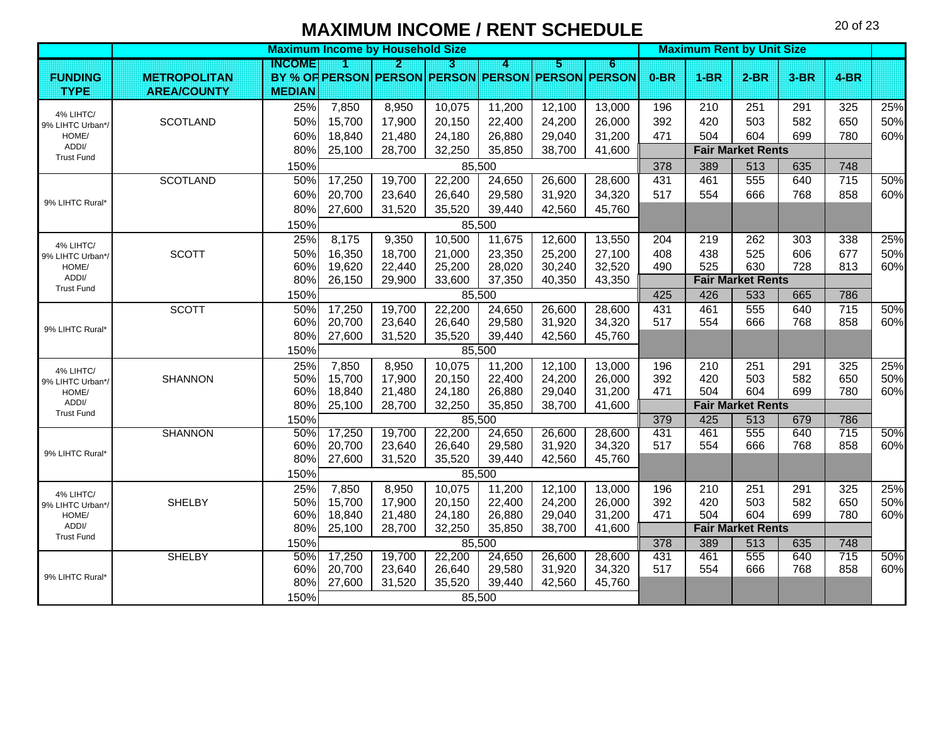|                               | <b>Maximum Income by Household Size</b> |                |                                                          |                         |                  |                  |                  |                                                   |            | <b>Maximum Rent by Unit Size</b> |                          |            |                 |            |  |  |
|-------------------------------|-----------------------------------------|----------------|----------------------------------------------------------|-------------------------|------------------|------------------|------------------|---------------------------------------------------|------------|----------------------------------|--------------------------|------------|-----------------|------------|--|--|
|                               |                                         | INCOME         |                                                          | $\overline{\mathbf{2}}$ | KI               | A                | Б                | $6\phantom{.0}$                                   |            |                                  |                          |            |                 |            |  |  |
| <b>FUNDING</b>                | <b>METROPOLITAN</b>                     |                |                                                          |                         |                  |                  |                  | BY % OF PERSON PERSON PERSON PERSON PERSON PERSON | $0-BR$     | $1-BR$                           | $2-BR$                   | $3-BR$     | $4-BR$          |            |  |  |
| <b>TYPE</b>                   | <b>AREA/COUNTY</b>                      | <b>MEDIAN</b>  |                                                          |                         |                  |                  |                  |                                                   |            |                                  |                          |            |                 |            |  |  |
| 4% LIHTC/                     |                                         | 25%            | 7,850                                                    | 8,950                   | 10,075           | 11,200           | 12,100           | 13,000                                            | 196        | 210                              | 251                      | 291        | 325             | 25%        |  |  |
| 9% LIHTC Urban*/              | <b>SCOTLAND</b>                         | 50%            | 15,700                                                   | 17,900                  | 20,150           | 22,400           | 24,200           | 26,000                                            | 392        | 420                              | 503                      | 582        | 650             | 50%        |  |  |
| HOME/                         |                                         | 60%            | 18,840                                                   | 21,480                  | 24,180           | 26,880           | 29,040           | 31,200                                            | 471        | 504                              | 604                      | 699        | 780             | 60%        |  |  |
| ADDI/<br><b>Trust Fund</b>    |                                         | 80%            | 25,100                                                   | 28,700                  | 32,250           | 35,850           | 38,700           | 41,600                                            |            |                                  | <b>Fair Market Rents</b> |            |                 |            |  |  |
|                               |                                         | 150%           |                                                          |                         |                  | 85,500           |                  |                                                   | 378        | 389                              | 513                      | 635        | 748             |            |  |  |
|                               | <b>SCOTLAND</b>                         | 50%            | 17,250                                                   | 19,700                  | 22,200           | 24,650           | 26,600           | 28,600                                            | 431        | 461                              | 555                      | 640        | $\frac{1}{715}$ | 50%        |  |  |
|                               |                                         | 60%            | 20,700                                                   | 23,640                  | 26,640           | 29,580           | 31,920           | 34,320                                            | 517        | 554                              | 666                      | 768        | 858             | 60%        |  |  |
| 9% LIHTC Rural*               |                                         | 80%            | 27,600                                                   | 31,520                  | 35,520           | 39,440           | 42,560           | 45,760                                            |            |                                  |                          |            |                 |            |  |  |
|                               |                                         | 150%           |                                                          | 85,500                  |                  |                  |                  |                                                   |            |                                  |                          |            |                 |            |  |  |
|                               |                                         | 25%            | 8,175                                                    | 9,350                   | 10,500           | 11,675           | 12,600           | 13,550                                            | 204        | 219                              | 262                      | 303        | 338             | 25%        |  |  |
| 4% LIHTC/<br>9% LIHTC Urban*/ | <b>SCOTT</b>                            | 50%            | 16,350                                                   | 18,700                  | 21,000           | 23,350           | 25,200           | 27,100                                            | 408        | 438                              | 525                      | 606        | 677             | 50%        |  |  |
| HOME/                         |                                         | 60%            | 19,620                                                   | 22,440                  | 25,200           | 28,020           | 30,240           | 32,520                                            | 490        | 525                              | 630                      | 728        | 813             | 60%        |  |  |
| ADDI/                         |                                         | 80%            | 26,150                                                   | 29,900                  | 33,600           | 37,350           | 40,350           | 43,350                                            |            |                                  | <b>Fair Market Rents</b> |            |                 |            |  |  |
| <b>Trust Fund</b>             |                                         | 150%<br>85,500 |                                                          |                         |                  |                  |                  |                                                   | 425        | 426                              | 533                      | 665        | 786             |            |  |  |
|                               | <b>SCOTT</b>                            | 50%            | 17,250                                                   | 19,700                  | 22,200           | 24,650           | 26,600           | 28,600                                            | 431        | 461                              | 555                      | 640        | 715             | 50%        |  |  |
| 9% LIHTC Rural*               |                                         | 60%            | 20,700                                                   | 23,640                  | 26,640           | 29,580           | 31,920           | 34,320                                            | 517        | 554                              | 666                      | 768        | 858             | 60%        |  |  |
|                               |                                         | 80%            | 27,600                                                   | 31,520                  | 35,520           | 39,440           | 42,560           | 45,760                                            |            |                                  |                          |            |                 |            |  |  |
|                               |                                         | 150%           | 85,500                                                   |                         |                  |                  |                  |                                                   |            |                                  |                          |            |                 |            |  |  |
| 4% LIHTC/                     |                                         | 25%            | 7,850                                                    | 8,950                   | 10,075           | 11,200           | 12,100           | 13,000                                            | 196        | 210                              | 251                      | 291        | 325             | 25%        |  |  |
| 9% LIHTC Urban*/              | <b>SHANNON</b>                          | 50%            | 15,700                                                   | 17,900                  | 20,150           | 22,400           | 24,200           | 26,000                                            | 392        | 420                              | 503                      | 582        | 650             | 50%        |  |  |
| HOME/                         |                                         | 60%            | 18,840                                                   | 21,480                  | 24,180           | 26,880           | 29,040           | 31,200                                            | 471        | 504                              | 604                      | 699        | 780             | 60%        |  |  |
| ADDI/<br><b>Trust Fund</b>    |                                         | 80%            | 32,250<br>25,100<br>28,700<br>35,850<br>38,700<br>41,600 |                         |                  |                  |                  |                                                   |            |                                  | <b>Fair Market Rents</b> |            |                 |            |  |  |
|                               |                                         | 150%           |                                                          |                         |                  | 85,500           |                  |                                                   | 379        | 425                              | 513                      | 679        | 786             |            |  |  |
|                               | <b>SHANNON</b>                          | 50%            | 17,250                                                   | 19,700                  | 22,200           | 24,650           | 26,600           | 28,600                                            | 431        | 461                              | 555                      | 640        | 715             | 50%        |  |  |
| 9% LIHTC Rural*               |                                         | 60%            | 20,700                                                   | 23,640                  | 26,640           | 29,580           | 31,920           | 34,320                                            | 517        | 554                              | 666                      | 768        | 858             | 60%        |  |  |
|                               |                                         | 80%            | 27,600                                                   | 31,520                  | 35,520           | 39,440           | 42,560           | 45,760                                            |            |                                  |                          |            |                 |            |  |  |
|                               |                                         | 150%           |                                                          |                         |                  | 85,500           |                  |                                                   |            |                                  |                          |            |                 |            |  |  |
| 4% LIHTC/                     |                                         | 25%            | 7,850                                                    | 8,950                   | 10,075           | 11,200           | 12,100           | 13,000                                            | 196<br>392 | 210<br>420                       | 251<br>503               | 291<br>582 | 325<br>650      | 25%<br>50% |  |  |
| 9% LIHTC Urban*/              | <b>SHELBY</b>                           | 50%<br>60%     | 15,700<br>18,840                                         | 17,900                  | 20,150<br>24,180 | 22,400<br>26,880 | 24,200<br>29,040 | 26,000<br>31,200                                  | 471        | 504                              | 604                      | 699        | 780             | 60%        |  |  |
| HOME/<br>ADDI/                |                                         | 80%            | 25,100                                                   | 21,480<br>28,700        | 32,250           | 35,850           | 38,700           | 41,600                                            |            |                                  | <b>Fair Market Rents</b> |            |                 |            |  |  |
| <b>Trust Fund</b>             |                                         | 150%           |                                                          |                         |                  | 85,500           |                  |                                                   | 378        | 389                              | 513                      | 635        |                 |            |  |  |
|                               | <b>SHELBY</b>                           | 50%            | 17,250                                                   | 19,700                  | 22,200           | 24,650           | 26,600           | 28,600                                            | 431        | 461                              | 555                      | 640        | 748<br>715      | 50%        |  |  |
|                               |                                         | 60%            | 20,700                                                   | 23,640                  | 26,640           | 29,580           | 31,920           | 34,320                                            | 517        | 554                              | 666                      | 768        | 858             | 60%        |  |  |
| 9% LIHTC Rural*               |                                         | 80%            | 27,600                                                   | 31,520                  | 35,520           | 39,440           | 42,560           | 45,760                                            |            |                                  |                          |            |                 |            |  |  |
|                               |                                         |                |                                                          |                         |                  |                  |                  |                                                   |            |                                  |                          |            |                 |            |  |  |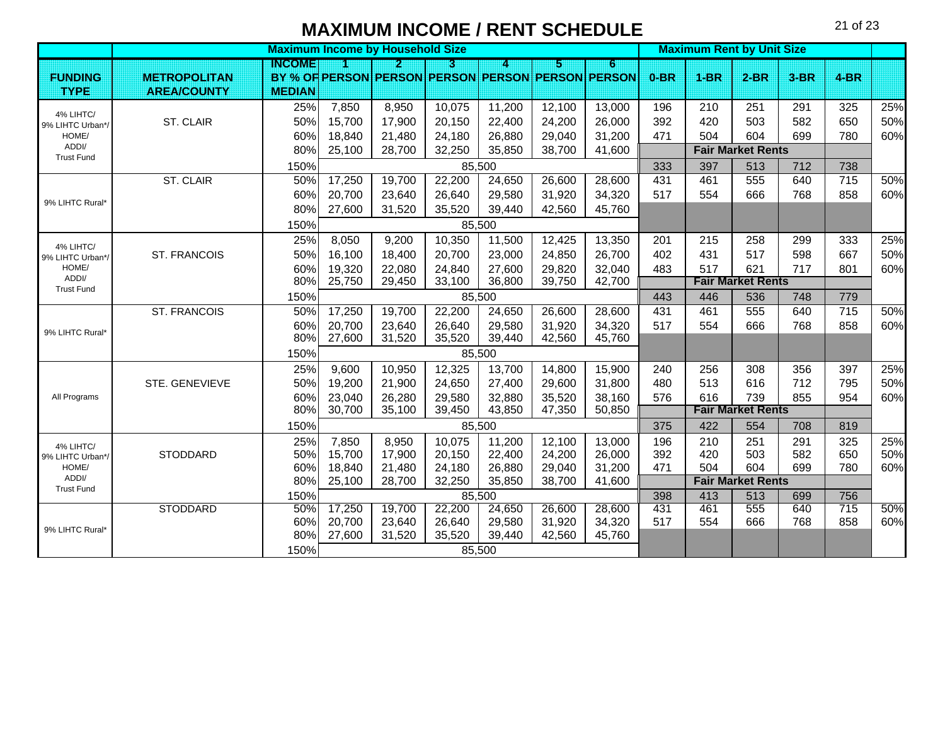|                            |                     |                                                                 |        | <b>Maximum Income by Household Size</b> |        | <b>Maximum Rent by Unit Size</b> |        |                                                   |        |                          |                                 |            |                 |     |
|----------------------------|---------------------|-----------------------------------------------------------------|--------|-----------------------------------------|--------|----------------------------------|--------|---------------------------------------------------|--------|--------------------------|---------------------------------|------------|-----------------|-----|
|                            |                     | INGOME                                                          |        | 21                                      | n      | 4                                | И      | 6                                                 |        |                          |                                 |            |                 |     |
| <b>FUNDING</b>             | <b>METROPOLITAN</b> |                                                                 |        |                                         |        |                                  |        | BY % OF PERSON PERSON PERSON PERSON PERSON PERSON | $0-BR$ | <b>1-BR</b>              | $2-BR$                          | $3-BR$     | $4 - B R$       |     |
| <b>TYPE</b>                | <b>AREA/COUNTY</b>  | <b>MEDIAN</b>                                                   |        |                                         |        |                                  |        |                                                   |        |                          |                                 |            |                 |     |
| 4% LIHTC/                  |                     | 25%                                                             | 7,850  | 8,950                                   | 10,075 | 11,200                           | 12,100 | 13,000                                            | 196    | 210                      | 251                             | 291        | 325             | 25% |
| 9% LIHTC Urban*/           | ST. CLAIR           | 50%                                                             | 15,700 | 17,900                                  | 20,150 | 22,400                           | 24,200 | 26,000                                            | 392    | 420                      | 503                             | 582        | 650             | 50% |
| HOME/                      |                     | 60%                                                             | 18,840 | 21,480                                  | 24,180 | 26,880                           | 29,040 | 31,200                                            | 471    | 504                      | 604                             | 699        | 780             | 60% |
| ADDI/<br><b>Trust Fund</b> |                     | 80%                                                             | 25,100 | 28,700                                  | 32,250 | 35,850                           | 38,700 | 41,600                                            |        |                          | <b>Fair Market Rents</b>        |            |                 |     |
|                            |                     | 150%                                                            |        |                                         |        | 85,500                           |        |                                                   | 333    | 397                      | 513                             | 712        | 738             |     |
|                            | ST. CLAIR           | 50%                                                             | 17,250 | 19,700                                  | 22,200 | 24,650                           | 26,600 | 28,600                                            | 431    | 461                      | 555                             | 640        | $\frac{1}{715}$ | 50% |
| 9% LIHTC Rural*            |                     | 60%                                                             | 20,700 | 23,640                                  | 26,640 | 29,580                           | 31,920 | 34,320                                            | 517    | 554                      | 666                             | 768        | 858             | 60% |
|                            |                     | 80%                                                             | 27,600 | 31,520                                  | 35,520 | 39,440                           | 42,560 | 45,760                                            |        |                          |                                 |            |                 |     |
|                            |                     | 150%                                                            |        |                                         |        | 85,500                           |        |                                                   |        |                          |                                 |            |                 |     |
| 4% LIHTC/                  |                     | 25%                                                             | 8,050  | 9,200                                   | 10,350 | 11,500                           | 12,425 | 13,350                                            | 201    | 215                      | 258                             | 299        | 333             | 25% |
| 9% LIHTC Urban*/           | <b>ST. FRANCOIS</b> | 50%                                                             | 16,100 | 18,400                                  | 20,700 | 23,000                           | 24,850 | 26,700                                            | 402    | 431                      | 517                             | 598        | 667             | 50% |
| HOME/                      |                     | 60%                                                             | 19,320 | 22,080                                  | 24,840 | 27,600                           | 29,820 | 32,040                                            | 483    | 517                      | 621                             | 717        | 801             | 60% |
| ADDI/<br><b>Trust Fund</b> |                     | 80%                                                             | 25,750 | 29,450                                  | 33,100 | 36,800                           | 39,750 | 42,700                                            |        | <b>Fair Market Rents</b> |                                 |            |                 |     |
|                            |                     | 150%                                                            |        |                                         |        | 85,500                           |        |                                                   | 443    | 446                      | 536                             | 748        | 779             |     |
|                            | <b>ST. FRANCOIS</b> | 50%                                                             | 17,250 | 19,700                                  | 22,200 | 24,650                           | 26,600 | 28,600                                            | 431    | 461                      | 555                             | 640        | 715             | 50% |
| 9% LIHTC Rural*            |                     | 60%                                                             | 20,700 | 23,640                                  | 26,640 | 29,580                           | 31,920 | 34,320                                            | 517    | 554                      | 666                             | 768        | 858             | 60% |
|                            |                     | 80%                                                             | 27,600 | 31,520                                  | 35,520 | 39,440                           | 42,560 | 45,760                                            |        |                          |                                 |            |                 |     |
|                            |                     | 150%                                                            | 85,500 |                                         |        |                                  |        |                                                   |        |                          |                                 |            |                 |     |
|                            |                     | 25%                                                             | 9,600  | 10,950                                  | 12,325 | 13,700                           | 14,800 | 15,900                                            | 240    | 256                      | 308                             | 356        | 397             | 25% |
|                            | STE. GENEVIEVE      | 50%                                                             | 19,200 | 21,900                                  | 24,650 | 27,400                           | 29,600 | 31,800                                            | 480    | 513                      | 616                             | 712        | 795             | 50% |
| All Programs               |                     | 60%                                                             | 23,040 | 26,280                                  | 29,580 | 32,880                           | 35,520 | 38,160                                            | 576    | 616                      | 739                             | 855        | 954             | 60% |
|                            |                     | 80%                                                             | 30,700 | 35,100                                  | 39,450 | 43,850                           | 47,350 | 50,850                                            |        |                          | <b>Fair Market Rents</b>        |            |                 |     |
|                            |                     | 150%                                                            |        |                                         |        | 85,500                           |        |                                                   | 375    | 422                      | 554                             | 708        | 819             |     |
| 4% LIHTC/                  |                     | 25%                                                             | 7,850  | 8,950                                   | 10,075 | 11,200                           | 12,100 | 13,000                                            | 196    | 210                      | 251                             | 291        | 325             | 25% |
| 9% LIHTC Urban*/           | <b>STODDARD</b>     | 50%                                                             | 15,700 | 17,900                                  | 20,150 | 22,400                           | 24,200 | 26,000                                            | 392    | 420                      | 503                             | 582        | 650             | 50% |
| HOME/<br>ADDI/             |                     | 60%                                                             | 18,840 | 21,480                                  | 24,180 | 26,880                           | 29,040 | 31,200<br>41,600                                  | 471    | 504                      | 604<br><b>Fair Market Rents</b> | 699        | 780             | 60% |
| <b>Trust Fund</b>          |                     | 28,700<br>80%<br>25,100<br>32,250<br>35,850<br>38,700<br>85,500 |        |                                         |        |                                  |        |                                                   | 398    |                          |                                 |            |                 |     |
|                            | <b>STODDARD</b>     | 150%<br>50%                                                     | 17,250 | 19,700                                  | 22,200 | 24,650                           | 26,600 | 28,600                                            | 431    | 413<br>461               | 513<br>555                      | 699<br>640 | 756<br>715      | 50% |
|                            |                     | 60%                                                             | 20,700 | 23,640                                  | 26,640 | 29,580                           | 31,920 | 34,320                                            | 517    | 554                      | 666                             | 768        | 858             | 60% |
| 9% LIHTC Rural*            |                     | 80%                                                             | 27,600 | 31,520                                  | 35,520 | 39,440                           | 42,560 | 45,760                                            |        |                          |                                 |            |                 |     |
|                            |                     | 150%                                                            |        |                                         |        | 85,500                           |        |                                                   |        |                          |                                 |            |                 |     |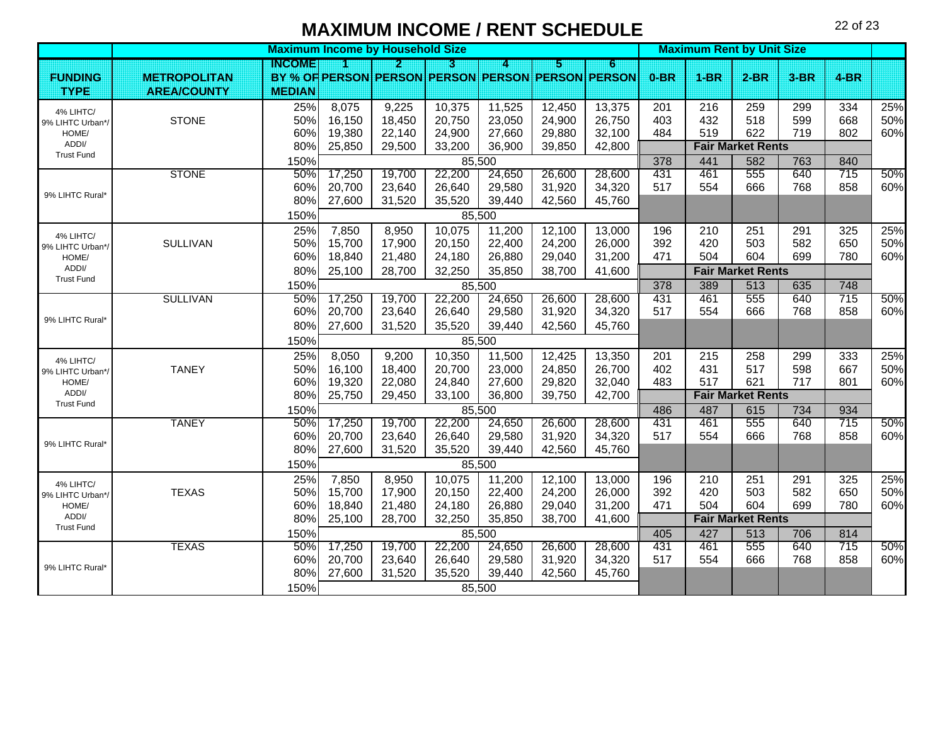|                            |                     | <b>Maximum Income by Household Size</b> |        |        |        |        |        |                                                   |        | <b>Maximum Rent by Unit Size</b> |                          |        |        |     |  |  |
|----------------------------|---------------------|-----------------------------------------|--------|--------|--------|--------|--------|---------------------------------------------------|--------|----------------------------------|--------------------------|--------|--------|-----|--|--|
|                            |                     | INGOME                                  |        | Ы      | R      | A      | 5      | $6\phantom{.0}$                                   |        |                                  |                          |        |        |     |  |  |
| <b>FUNDING</b>             | <b>METROPOLITAN</b> |                                         |        |        |        |        |        | BY % OF PERSON PERSON PERSON PERSON PERSON PERSON | $0-BR$ | $1-BR$                           | $2-BR$                   | $3-BR$ | $4-BR$ |     |  |  |
| <b>TYPE</b>                | <b>AREA/COUNTY</b>  | <b>MEDIAN</b>                           |        |        |        |        |        |                                                   |        |                                  |                          |        |        |     |  |  |
| 4% LIHTC/                  |                     | 25%                                     | 8,075  | 9,225  | 10,375 | 11,525 | 12,450 | 13,375                                            | 201    | 216                              | 259                      | 299    | 334    | 25% |  |  |
| 9% LIHTC Urban*/           | <b>STONE</b>        | 50%                                     | 16,150 | 18,450 | 20,750 | 23,050 | 24,900 | 26,750                                            | 403    | 432                              | 518                      | 599    | 668    | 50% |  |  |
| HOME/                      |                     | 60%                                     | 19,380 | 22,140 | 24,900 | 27,660 | 29,880 | 32,100                                            | 484    | 519                              | 622                      | 719    | 802    | 60% |  |  |
| ADDI/<br><b>Trust Fund</b> |                     | 80%                                     | 25,850 | 29,500 | 33,200 | 36,900 | 39,850 | 42,800                                            |        |                                  | <b>Fair Market Rents</b> |        |        |     |  |  |
|                            |                     | 150%                                    |        |        |        | 85,500 |        |                                                   | 378    | 441                              | 582                      | 763    | 840    |     |  |  |
|                            | <b>STONE</b>        | 50%                                     | 17,250 | 19,700 | 22,200 | 24,650 | 26,600 | 28,600                                            | 431    | 461                              | 555                      | 640    | 715    | 50% |  |  |
| 9% LIHTC Rural*            |                     | 60%                                     | 20,700 | 23,640 | 26,640 | 29,580 | 31,920 | 34,320                                            | 517    | 554                              | 666                      | 768    | 858    | 60% |  |  |
|                            |                     | 80%                                     | 27,600 | 31,520 | 35,520 | 39,440 | 42,560 | 45,760                                            |        |                                  |                          |        |        |     |  |  |
|                            |                     | 150%                                    |        |        |        | 85,500 |        |                                                   |        |                                  |                          |        |        |     |  |  |
| 4% LIHTC/                  |                     | 25%                                     | 7,850  | 8,950  | 10,075 | 11,200 | 12,100 | 13,000                                            | 196    | 210                              | 251                      | 291    | 325    | 25% |  |  |
| 9% LIHTC Urban*/           | <b>SULLIVAN</b>     | 50%                                     | 15,700 | 17,900 | 20,150 | 22,400 | 24,200 | 26,000                                            | 392    | 420                              | 503                      | 582    | 650    | 50% |  |  |
| HOME/                      |                     | 60%                                     | 18,840 | 21,480 | 24,180 | 26,880 | 29,040 | 31,200                                            | 471    | 504                              | 604                      | 699    | 780    | 60% |  |  |
| ADDI/<br><b>Trust Fund</b> |                     | 80%                                     | 25,100 | 28,700 | 32,250 | 35,850 | 38,700 | 41,600                                            |        |                                  | <b>Fair Market Rents</b> |        |        |     |  |  |
|                            |                     | 150%                                    |        |        |        | 85,500 |        |                                                   | 378    | 389                              | 513                      | 635    | 748    |     |  |  |
|                            | <b>SULLIVAN</b>     | 50%                                     | 17,250 | 19,700 | 22,200 | 24,650 | 26,600 | 28,600                                            | 431    | 461                              | 555                      | 640    | 715    | 50% |  |  |
|                            |                     | 60%                                     | 20,700 | 23,640 | 26,640 | 29,580 | 31,920 | 34,320                                            | 517    | 554                              | 666                      | 768    | 858    | 60% |  |  |
| 9% LIHTC Rural*            |                     | 80%                                     | 27,600 | 31,520 | 35,520 | 39,440 | 42,560 | 45,760                                            |        |                                  |                          |        |        |     |  |  |
|                            |                     | 150%                                    | 85,500 |        |        |        |        |                                                   |        |                                  |                          |        |        |     |  |  |
| 4% LIHTC/                  |                     | 25%                                     | 8,050  | 9,200  | 10,350 | 11,500 | 12,425 | 13,350                                            | 201    | 215                              | 258                      | 299    | 333    | 25% |  |  |
| 9% LIHTC Urban*/           | <b>TANEY</b>        | 50%                                     | 16,100 | 18,400 | 20,700 | 23,000 | 24,850 | 26,700                                            | 402    | 431                              | 517                      | 598    | 667    | 50% |  |  |
| HOME/                      |                     | 60%                                     | 19,320 | 22,080 | 24,840 | 27,600 | 29,820 | 32,040                                            | 483    | 517                              | 621                      | 717    | 801    | 60% |  |  |
| ADDI/                      |                     | 80%                                     | 25,750 | 29,450 | 33,100 | 36,800 | 39,750 | 42,700                                            |        |                                  | <b>Fair Market Rents</b> |        |        |     |  |  |
| <b>Trust Fund</b>          |                     | 150%                                    |        |        |        | 85,500 |        |                                                   | 486    | 487                              | 615                      | 734    | 934    |     |  |  |
|                            | <b>TANEY</b>        | 50%                                     | 17,250 | 19,700 | 22,200 | 24,650 | 26,600 | 28,600                                            | 431    | 461                              | 555                      | 640    | 715    | 50% |  |  |
| 9% LIHTC Rural*            |                     | 60%                                     | 20,700 | 23,640 | 26,640 | 29,580 | 31,920 | 34,320                                            | 517    | 554                              | 666                      | 768    | 858    | 60% |  |  |
|                            |                     | 80%                                     | 27,600 | 31,520 | 35,520 | 39,440 | 42,560 | 45,760                                            |        |                                  |                          |        |        |     |  |  |
|                            |                     | 150%                                    |        |        |        | 85,500 |        |                                                   |        |                                  |                          |        |        |     |  |  |
| 4% LIHTC/                  |                     | 25%                                     | 7,850  | 8,950  | 10,075 | 11,200 | 12,100 | 13,000                                            | 196    | 210                              | 251                      | 291    | 325    | 25% |  |  |
| 9% LIHTC Urban*/           | <b>TEXAS</b>        | 50%                                     | 15,700 | 17,900 | 20,150 | 22,400 | 24,200 | 26,000                                            | 392    | 420                              | 503                      | 582    | 650    | 50% |  |  |
| HOME/                      |                     | 60%                                     | 18,840 | 21,480 | 24,180 | 26,880 | 29,040 | 31,200                                            | 471    | 504                              | 604                      | 699    | 780    | 60% |  |  |
| ADDI/                      |                     | 80%                                     | 25,100 | 28,700 | 32,250 | 35,850 | 38,700 | 41,600                                            |        |                                  | <b>Fair Market Rents</b> |        |        |     |  |  |
| <b>Trust Fund</b>          |                     | 150%                                    |        |        |        | 85,500 |        |                                                   | 405    | 427                              | 513                      | 706    | 814    |     |  |  |
|                            | <b>TEXAS</b>        | 50%                                     | 17,250 | 19,700 | 22,200 | 24,650 | 26,600 | 28,600                                            | 431    | 461                              | 555                      | 640    | 715    | 50% |  |  |
| 9% LIHTC Rural*            |                     | 60%                                     | 20,700 | 23,640 | 26,640 | 29,580 | 31,920 | 34,320                                            | 517    | 554                              | 666                      | 768    | 858    | 60% |  |  |
|                            |                     | 80%                                     | 27,600 | 31,520 | 35,520 | 39,440 | 42,560 | 45,760                                            |        |                                  |                          |        |        |     |  |  |
|                            |                     | 150%                                    |        |        |        | 85,500 |        |                                                   |        |                                  |                          |        |        |     |  |  |